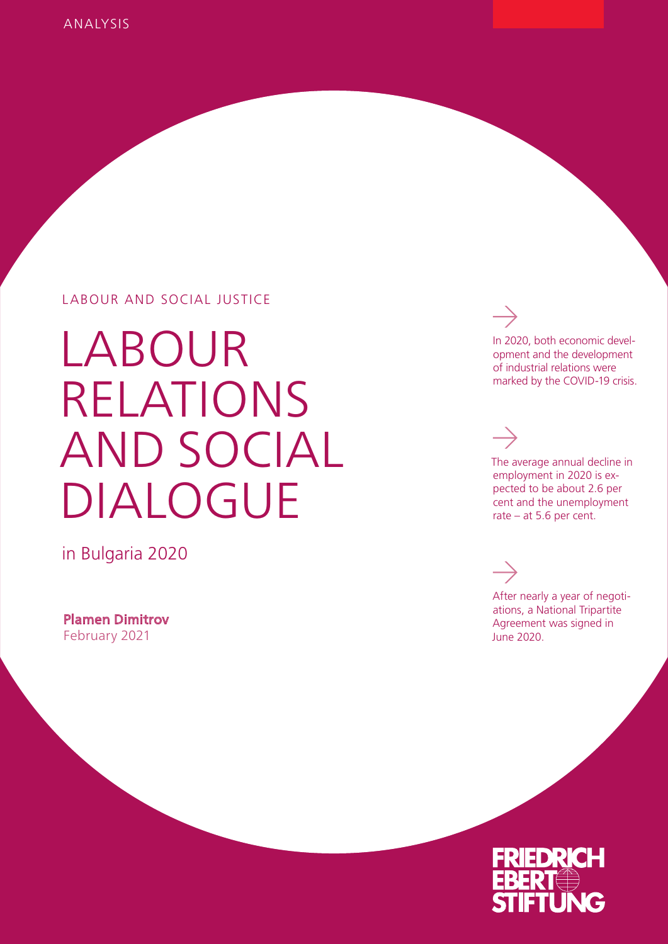#### LABOUR AND SOCIAL JUSTICE

LABOUR RELATIONS AND SOCIAL DIALOGUE

in Bulgaria 2020

Plamen Dimitrov February 2021

In 2020, both economic development and the development of industrial relations were marked by the COVID-19 crisis.

The average annual decline in employment in 2020 is expected to be about 2.6 per cent and the unemployment rate – at 5.6 per cent.

After nearly a year of negotiations, a National Tripartite Agreement was signed in June 2020.

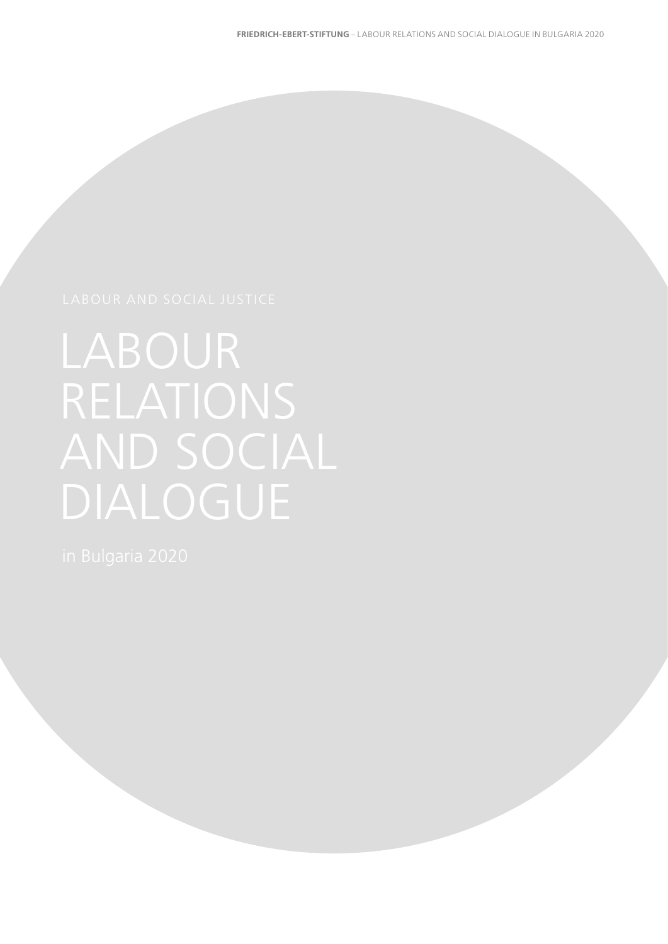# RELATIONS AND SOCIAL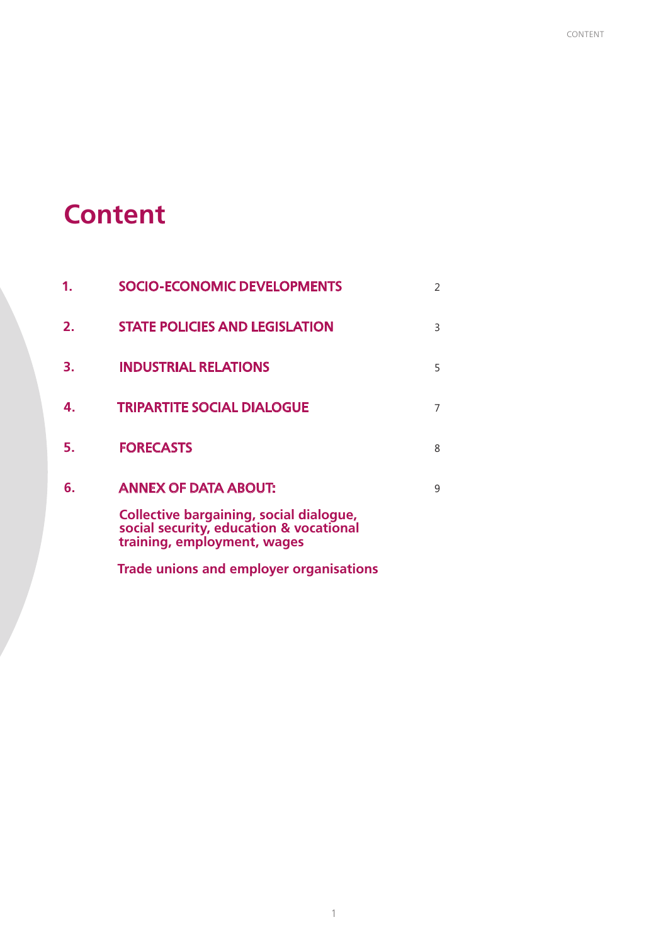## **Content**

|                | <b>SOCIO-ECONOMIC DEVELOPMENTS</b>                                                                                       | $\mathcal{P}$ |
|----------------|--------------------------------------------------------------------------------------------------------------------------|---------------|
| 2 <sub>1</sub> | <b>STATE POLICIES AND LEGISLATION</b>                                                                                    | 3             |
| З.             | <b>INDUSTRIAL RELATIONS</b>                                                                                              | 5             |
| 4.             | <b>TRIPARTITE SOCIAL DIALOGUE</b>                                                                                        | 7             |
| 5.             | <b>FORECASTS</b>                                                                                                         | 8             |
| 6.             | <b>ANNEX OF DATA ABOUT:</b>                                                                                              | q             |
|                | <b>Collective bargaining, social dialogue,</b><br>social security, education & vocational<br>training, employment, wages |               |

**Trade unions and employer organisations**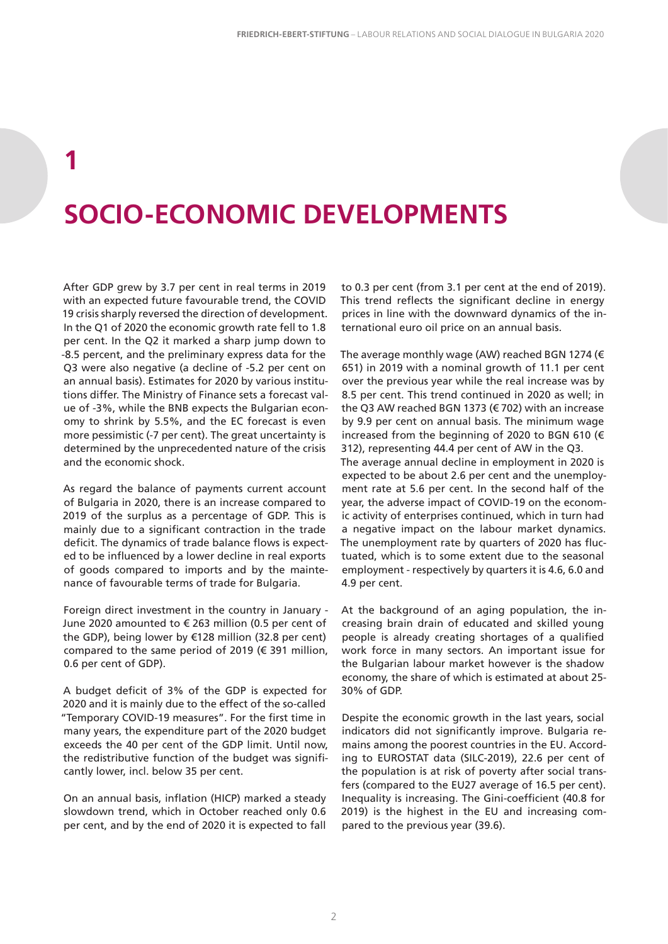## **1 SOCIO-ECONOMIC DEVELOPMENTS**

After GDP grew by 3.7 per cent in real terms in 2019 with an expected future favourable trend, the COVID 19 crisis sharply reversed the direction of development. In the Q1 of 2020 the economic growth rate fell to 1.8 per cent. In the Q2 it marked a sharp jump down to -8.5 percent, and the preliminary express data for the Q3 were also negative (a decline of -5.2 per cent on an annual basis). Estimates for 2020 by various institutions differ. The Ministry of Finance sets a forecast value of -3%, while the BNB expects the Bulgarian economy to shrink by 5.5%, and the EC forecast is even more pessimistic (-7 per cent). The great uncertainty is determined by the unprecedented nature of the crisis and the economic shock.

As regard the balance of payments current account of Bulgaria in 2020, there is an increase compared to 2019 of the surplus as a percentage of GDP. This is mainly due to a significant contraction in the trade deficit. The dynamics of trade balance flows is expected to be influenced by a lower decline in real exports of goods compared to imports and by the maintenance of favourable terms of trade for Bulgaria.

Foreign direct investment in the country in January - June 2020 amounted to € 263 million (0.5 per cent of the GDP), being lower by €128 million (32.8 per cent) compared to the same period of 2019 (€ 391 million, 0.6 per cent of GDP).

A budget deficit of 3% of the GDP is expected for 2020 and it is mainly due to the effect of the so-called "Temporary COVID-19 measures". For the first time in many years, the expenditure part of the 2020 budget exceeds the 40 per cent of the GDP limit. Until now, the redistributive function of the budget was significantly lower, incl. below 35 per cent.

On an annual basis, inflation (HICP) marked a steady slowdown trend, which in October reached only 0.6 per cent, and by the end of 2020 it is expected to fall

to 0.3 per cent (from 3.1 per cent at the end of 2019). This trend reflects the significant decline in energy prices in line with the downward dynamics of the international euro oil price on an annual basis.

The average monthly wage (AW) reached BGN 1274 (€ 651) in 2019 with a nominal growth of 11.1 per cent over the previous year while the real increase was by 8.5 per cent. This trend continued in 2020 as well; in the Q3 AW reached BGN 1373 (€ 702) with an increase by 9.9 per cent on annual basis. The minimum wage increased from the beginning of 2020 to BGN 610 (€ 312), representing 44.4 per cent of AW in the Q3. The average annual decline in employment in 2020 is expected to be about 2.6 per cent and the unemployment rate at 5.6 per cent. In the second half of the year, the adverse impact of COVID-19 on the economic activity of enterprises continued, which in turn had a negative impact on the labour market dynamics. The unemployment rate by quarters of 2020 has fluctuated, which is to some extent due to the seasonal employment - respectively by quarters it is 4.6, 6.0 and 4.9 per cent.

At the background of an aging population, the increasing brain drain of educated and skilled young people is already creating shortages of a qualified work force in many sectors. An important issue for the Bulgarian labour market however is the shadow economy, the share of which is estimated at about 25- 30% of GDP.

Despite the economic growth in the last years, social indicators did not significantly improve. Bulgaria remains among the poorest countries in the EU. According to EUROSTAT data (SILC-2019), 22.6 per cent of the population is at risk of poverty after social transfers (compared to the EU27 average of 16.5 per cent). Inequality is increasing. The Gini-coefficient (40.8 for 2019) is the highest in the EU and increasing compared to the previous year (39.6).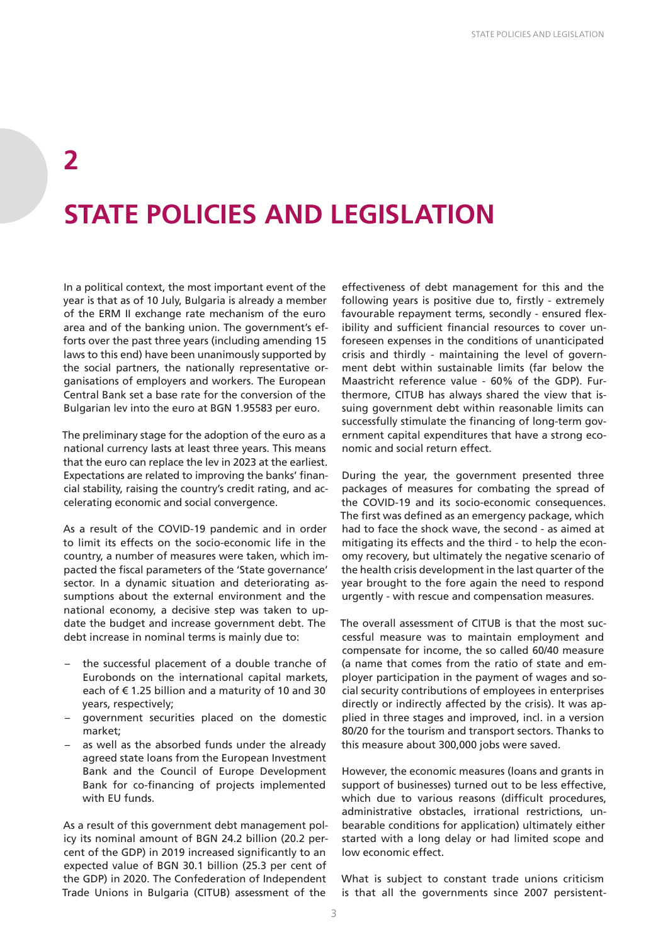## **2 STATE POLICIES AND LEGISLATION**

In a political context, the most important event of the year is that as of 10 July, Bulgaria is already a member of the ERM II exchange rate mechanism of the euro area and of the banking union. The government's efforts over the past three years (including amending 15 laws to this end) have been unanimously supported by the social partners, the nationally representative organisations of employers and workers. The European Central Bank set a base rate for the conversion of the Bulgarian lev into the euro at BGN 1.95583 per euro.

The preliminary stage for the adoption of the euro as a national currency lasts at least three years. This means that the euro can replace the lev in 2023 at the earliest. Expectations are related to improving the banks' financial stability, raising the country's credit rating, and accelerating economic and social convergence.

As a result of the COVID-19 pandemic and in order to limit its effects on the socio-economic life in the country, a number of measures were taken, which impacted the fiscal parameters of the 'State governance' sector. In a dynamic situation and deteriorating assumptions about the external environment and the national economy, a decisive step was taken to update the budget and increase government debt. The debt increase in nominal terms is mainly due to:

- the successful placement of a double tranche of Eurobonds on the international capital markets, each of  $\epsilon$  1.25 billion and a maturity of 10 and 30 years, respectively;
- government securities placed on the domestic market;
- as well as the absorbed funds under the already agreed state loans from the European Investment Bank and the Council of Europe Development Bank for co-financing of projects implemented with EU funds.

As a result of this government debt management policy its nominal amount of BGN 24.2 billion (20.2 percent of the GDP) in 2019 increased significantly to an expected value of BGN 30.1 billion (25.3 per cent of the GDP) in 2020. The Confederation of Independent Trade Unions in Bulgaria (CITUB) assessment of the

effectiveness of debt management for this and the following years is positive due to, firstly - extremely favourable repayment terms, secondly - ensured flexibility and sufficient financial resources to cover unforeseen expenses in the conditions of unanticipated crisis and thirdly - maintaining the level of government debt within sustainable limits (far below the Maastricht reference value - 60% of the GDP). Furthermore, CITUB has always shared the view that issuing government debt within reasonable limits can successfully stimulate the financing of long-term government capital expenditures that have a strong economic and social return effect.

During the year, the government presented three packages of measures for combating the spread of the COVID-19 and its socio-economic consequences. The first was defined as an emergency package, which had to face the shock wave, the second - as aimed at mitigating its effects and the third - to help the economy recovery, but ultimately the negative scenario of the health crisis development in the last quarter of the year brought to the fore again the need to respond urgently - with rescue and compensation measures.

The overall assessment of CITUB is that the most successful measure was to maintain employment and compensate for income, the so called 60/40 measure (a name that comes from the ratio of state and employer participation in the payment of wages and social security contributions of employees in enterprises directly or indirectly affected by the crisis). It was applied in three stages and improved, incl. in a version 80/20 for the tourism and transport sectors. Thanks to this measure about 300,000 jobs were saved.

However, the economic measures (loans and grants in support of businesses) turned out to be less effective, which due to various reasons (difficult procedures, administrative obstacles, irrational restrictions, unbearable conditions for application) ultimately either started with a long delay or had limited scope and low economic effect.

What is subject to constant trade unions criticism is that all the governments since 2007 persistent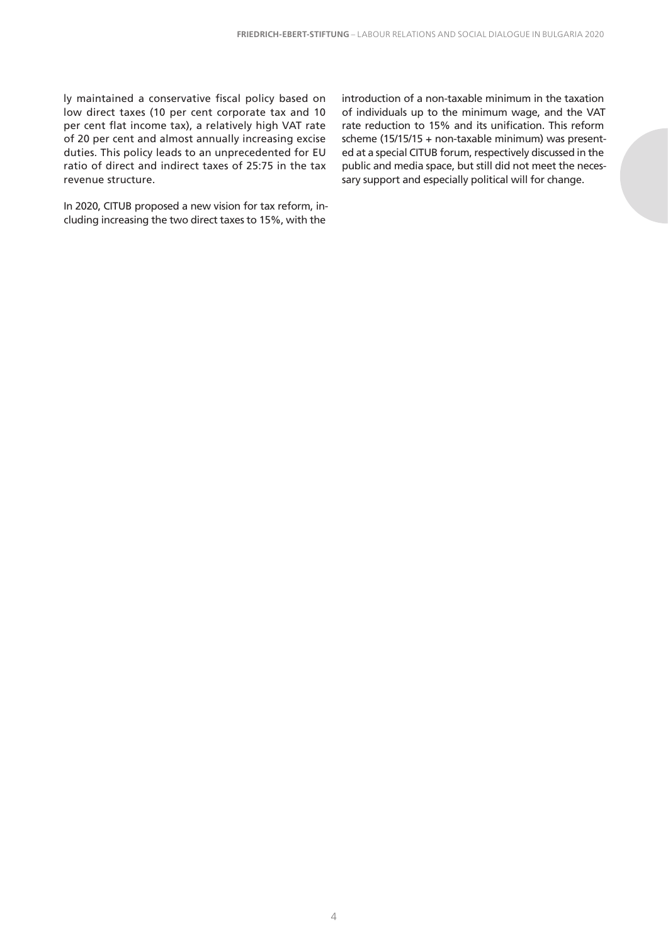ly maintained a conservative fiscal policy based on low direct taxes (10 per cent corporate tax and 10 per cent flat income tax), a relatively high VAT rate of 20 per cent and almost annually increasing excise duties. This policy leads to an unprecedented for EU ratio of direct and indirect taxes of 25:75 in the tax revenue structure.

In 2020, CITUB proposed a new vision for tax reform, including increasing the two direct taxes to 15%, with the

introduction of a non-taxable minimum in the taxation of individuals up to the minimum wage, and the VAT rate reduction to 15% and its unification. This reform scheme (15/15/15 + non-taxable minimum) was presented at a special CITUB forum, respectively discussed in the public and media space, but still did not meet the necessary support and especially political will for change.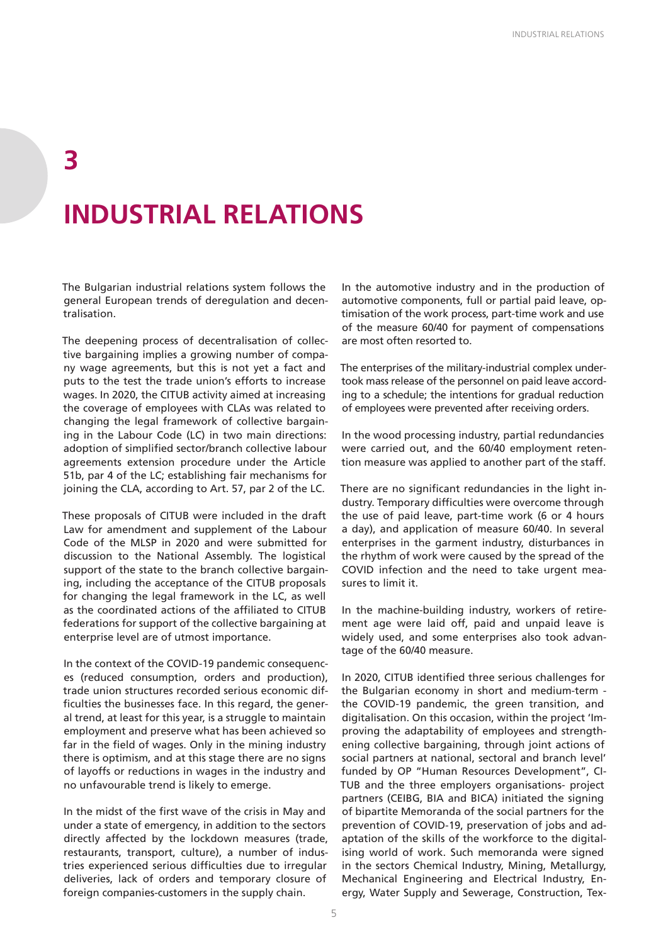## **INDUSTRIAL RELATIONS**

**3**

The Bulgarian industrial relations system follows the general European trends of deregulation and decentralisation.

The deepening process of decentralisation of collective bargaining implies a growing number of company wage agreements, but this is not yet a fact and puts to the test the trade union's efforts to increase wages. In 2020, the CITUB activity aimed at increasing the coverage of employees with CLAs was related to changing the legal framework of collective bargaining in the Labour Code (LC) in two main directions: adoption of simplified sector/branch collective labour agreements extension procedure under the Article 51b, par 4 of the LC; establishing fair mechanisms for joining the CLA, according to Art. 57, par 2 of the LC.

These proposals of CITUB were included in the draft Law for amendment and supplement of the Labour Code of the MLSP in 2020 and were submitted for discussion to the National Assembly. The logistical support of the state to the branch collective bargaining, including the acceptance of the CITUB proposals for changing the legal framework in the LC, as well as the coordinated actions of the affiliated to CITUB federations for support of the collective bargaining at enterprise level are of utmost importance.

In the context of the COVID-19 pandemic consequences (reduced consumption, orders and production), trade union structures recorded serious economic difficulties the businesses face. In this regard, the general trend, at least for this year, is a struggle to maintain employment and preserve what has been achieved so far in the field of wages. Only in the mining industry there is optimism, and at this stage there are no signs of layoffs or reductions in wages in the industry and no unfavourable trend is likely to emerge.

In the midst of the first wave of the crisis in May and under a state of emergency, in addition to the sectors directly affected by the lockdown measures (trade, restaurants, transport, culture), a number of industries experienced serious difficulties due to irregular deliveries, lack of orders and temporary closure of foreign companies-customers in the supply chain.

In the automotive industry and in the production of automotive components, full or partial paid leave, optimisation of the work process, part-time work and use of the measure 60/40 for payment of compensations are most often resorted to.

The enterprises of the military-industrial complex undertook mass release of the personnel on paid leave according to a schedule; the intentions for gradual reduction of employees were prevented after receiving orders.

In the wood processing industry, partial redundancies were carried out, and the 60/40 employment retention measure was applied to another part of the staff.

There are no significant redundancies in the light industry. Temporary difficulties were overcome through the use of paid leave, part-time work (6 or 4 hours a day), and application of measure 60/40. In several enterprises in the garment industry, disturbances in the rhythm of work were caused by the spread of the COVID infection and the need to take urgent measures to limit it.

In the machine-building industry, workers of retirement age were laid off, paid and unpaid leave is widely used, and some enterprises also took advantage of the 60/40 measure.

In 2020, CITUB identified three serious challenges for the Bulgarian economy in short and medium-term the COVID-19 pandemic, the green transition, and digitalisation. On this occasion, within the project 'Improving the adaptability of employees and strengthening collective bargaining, through joint actions of social partners at national, sectoral and branch level' funded by OP "Human Resources Development", CI-TUB and the three employers organisations- project partners (CEIBG, BIA and BICA) initiated the signing of bipartite Memoranda of the social partners for the prevention of COVID-19, preservation of jobs and adaptation of the skills of the workforce to the digitalising world of work. Such memoranda were signed in the sectors Chemical Industry, Mining, Metallurgy, Mechanical Engineering and Electrical Industry, Energy, Water Supply and Sewerage, Construction, Tex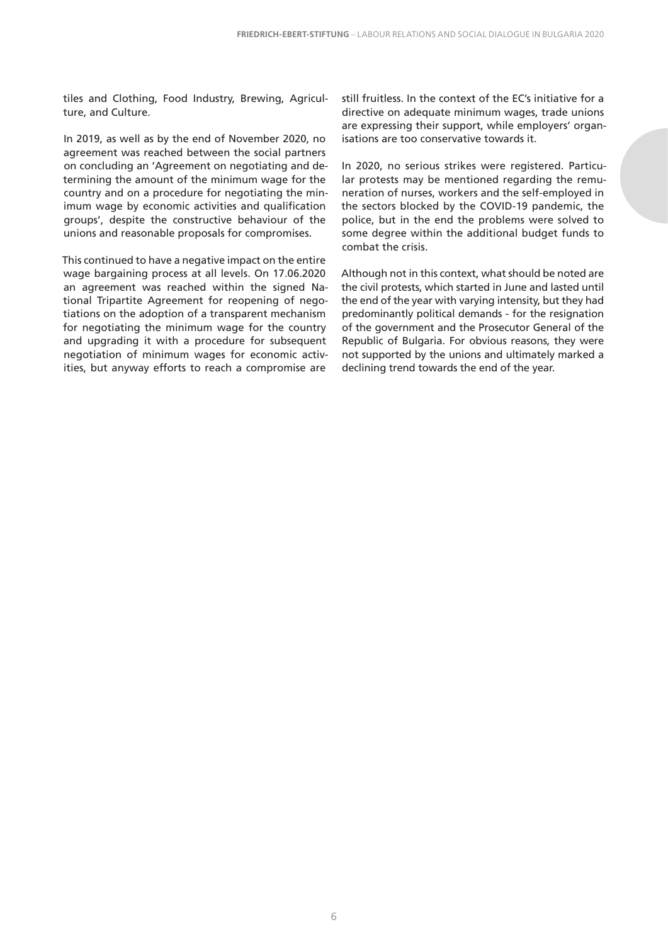tiles and Clothing, Food Industry, Brewing, Agriculture, and Culture.

In 2019, as well as by the end of November 2020, no agreement was reached between the social partners on concluding an 'Agreement on negotiating and determining the amount of the minimum wage for the country and on a procedure for negotiating the minimum wage by economic activities and qualification groups', despite the constructive behaviour of the unions and reasonable proposals for compromises.

This continued to have a negative impact on the entire wage bargaining process at all levels. On 17.06.2020 an agreement was reached within the signed National Tripartite Agreement for reopening of negotiations on the adoption of a transparent mechanism for negotiating the minimum wage for the country and upgrading it with a procedure for subsequent negotiation of minimum wages for economic activities, but anyway efforts to reach a compromise are

still fruitless. In the context of the EC's initiative for a directive on adequate minimum wages, trade unions are expressing their support, while employers' organisations are too conservative towards it.

In 2020, no serious strikes were registered. Particular protests may be mentioned regarding the remuneration of nurses, workers and the self-employed in the sectors blocked by the COVID-19 pandemic, the police, but in the end the problems were solved to some degree within the additional budget funds to combat the crisis.

Although not in this context, what should be noted are the civil protests, which started in June and lasted until the end of the year with varying intensity, but they had predominantly political demands - for the resignation of the government and the Prosecutor General of the Republic of Bulgaria. For obvious reasons, they were not supported by the unions and ultimately marked a declining trend towards the end of the year.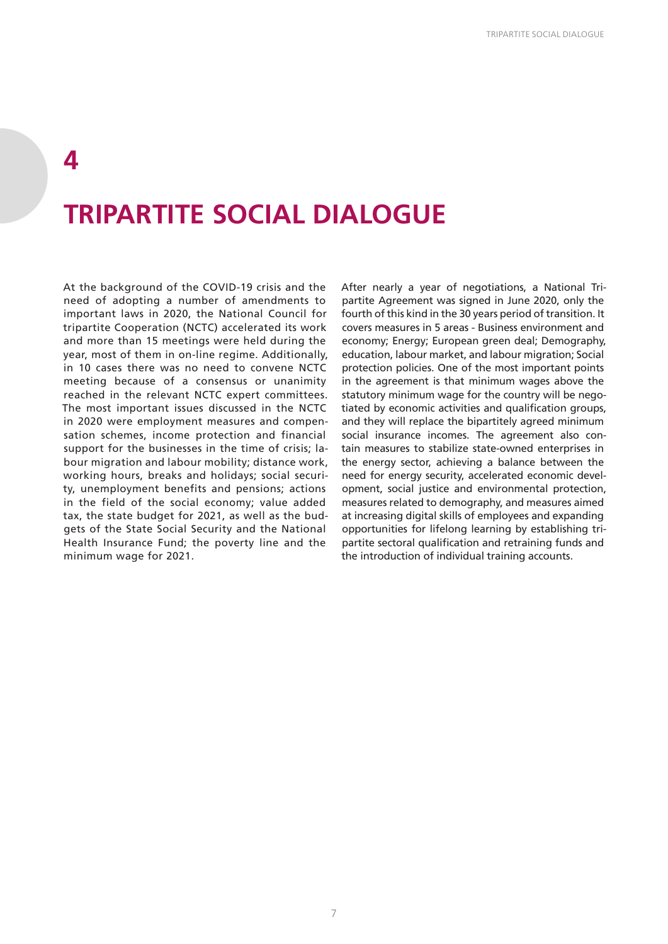#### **4**

## **TRIPARTITE SOCIAL DIALOGUE**

At the background of the COVID-19 crisis and the need of adopting a number of amendments to important laws in 2020, the National Council for tripartite Cooperation (NCTC) accelerated its work and more than 15 meetings were held during the year, most of them in on-line regime. Additionally, in 10 cases there was no need to convene NCTC meeting because of a consensus or unanimity reached in the relevant NCTC expert committees. The most important issues discussed in the NCTC in 2020 were employment measures and compensation schemes, income protection and financial support for the businesses in the time of crisis; labour migration and labour mobility; distance work, working hours, breaks and holidays; social security, unemployment benefits and pensions; actions in the field of the social economy; value added tax, the state budget for 2021, as well as the budgets of the State Social Security and the National Health Insurance Fund; the poverty line and the minimum wage for 2021.

After nearly a year of negotiations, a National Tripartite Agreement was signed in June 2020, only the fourth of this kind in the 30 years period of transition. It covers measures in 5 areas - Business environment and economy; Energy; European green deal; Demography, education, labour market, and labour migration; Social protection policies. One of the most important points in the agreement is that minimum wages above the statutory minimum wage for the country will be negotiated by economic activities and qualification groups, and they will replace the bipartitely agreed minimum social insurance incomes. The agreement also contain measures to stabilize state-owned enterprises in the energy sector, achieving a balance between the need for energy security, accelerated economic development, social justice and environmental protection, measures related to demography, and measures aimed at increasing digital skills of employees and expanding opportunities for lifelong learning by establishing tripartite sectoral qualification and retraining funds and the introduction of individual training accounts.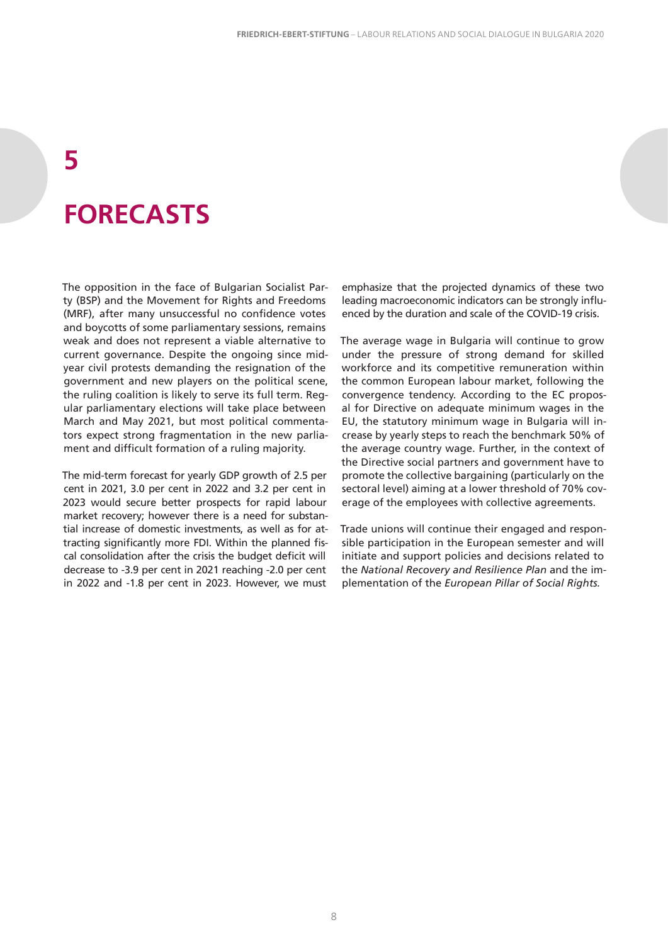## **5 FORECASTS**

The opposition in the face of Bulgarian Socialist Party (BSP) and the Movement for Rights and Freedoms (MRF), after many unsuccessful no confidence votes and boycotts of some parliamentary sessions, remains weak and does not represent a viable alternative to current governance. Despite the ongoing since midyear civil protests demanding the resignation of the government and new players on the political scene, the ruling coalition is likely to serve its full term. Regular parliamentary elections will take place between March and May 2021, but most political commentators expect strong fragmentation in the new parliament and difficult formation of a ruling majority.

The mid-term forecast for yearly GDP growth of 2.5 per cent in 2021, 3.0 per cent in 2022 and 3.2 per cent in 2023 would secure better prospects for rapid labour market recovery; however there is a need for substantial increase of domestic investments, as well as for attracting significantly more FDI. Within the planned fiscal consolidation after the crisis the budget deficit will decrease to -3.9 per cent in 2021 reaching -2.0 per cent in 2022 and -1.8 per cent in 2023. However, we must

emphasize that the projected dynamics of these two leading macroeconomic indicators can be strongly influenced by the duration and scale of the COVID-19 crisis.

The average wage in Bulgaria will continue to grow under the pressure of strong demand for skilled workforce and its competitive remuneration within the common European labour market, following the convergence tendency. According to the EC proposal for Directive on adequate minimum wages in the EU, the statutory minimum wage in Bulgaria will increase by yearly steps to reach the benchmark 50% of the average country wage. Further, in the context of the Directive social partners and government have to promote the collective bargaining (particularly on the sectoral level) aiming at a lower threshold of 70% coverage of the employees with collective agreements.

Trade unions will continue their engaged and responsible participation in the European semester and will initiate and support policies and decisions related to the *National Recovery and Resilience Plan* and the implementation of the *European Pillar of Social Rights.*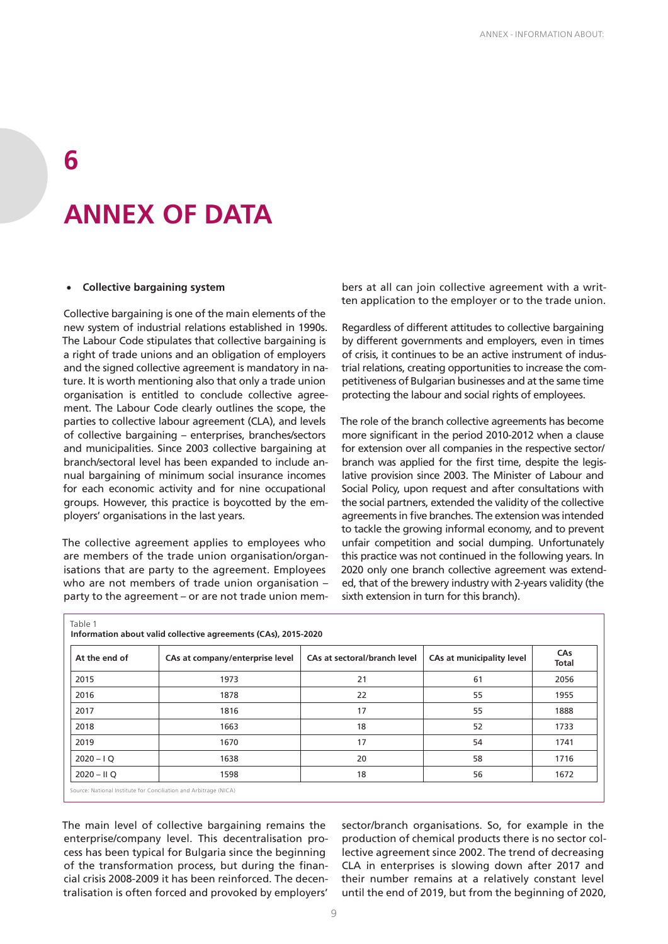## **ANNEX OF DATA**

#### **Collective bargaining system**

**6**

Collective bargaining is one of the main elements of the new system of industrial relations established in 1990s. The Labour Code stipulates that collective bargaining is a right of trade unions and an obligation of employers and the signed collective agreement is mandatory in nature. It is worth mentioning also that only a trade union organisation is entitled to conclude collective agreement. The Labour Code clearly outlines the scope, the parties to collective labour agreement (CLA), and levels of collective bargaining – enterprises, branches/sectors and municipalities. Since 2003 collective bargaining at branch/sectoral level has been expanded to include annual bargaining of minimum social insurance incomes for each economic activity and for nine occupational groups. However, this practice is boycotted by the employers' organisations in the last years.

The collective agreement applies to employees who are members of the trade union organisation/organisations that are party to the agreement. Employees who are not members of trade union organisation – party to the agreement – or are not trade union members at all can join collective agreement with a written application to the employer or to the trade union.

Regardless of different attitudes to collective bargaining by different governments and employers, even in times of crisis, it continues to be an active instrument of industrial relations, creating opportunities to increase the competitiveness of Bulgarian businesses and at the same time protecting the labour and social rights of employees.

The role of the branch collective agreements has become more significant in the period 2010-2012 when a clause for extension over all companies in the respective sector/ branch was applied for the first time, despite the legislative provision since 2003. The Minister of Labour and Social Policy, upon request and after consultations with the social partners, extended the validity of the collective agreements in five branches. The extension was intended to tackle the growing informal economy, and to prevent unfair competition and social dumping. Unfortunately this practice was not continued in the following years. In 2020 only one branch collective agreement was extended, that of the brewery industry with 2-years validity (the sixth extension in turn for this branch).

| At the end of | CAs at company/enterprise level | CAs at sectoral/branch level | CAs at municipality level | CAs<br><b>Total</b> |  |
|---------------|---------------------------------|------------------------------|---------------------------|---------------------|--|
| 2015          | 1973                            | 21                           | 61                        | 2056                |  |
| 2016          | 1878                            | 22                           | 55                        | 1955                |  |
| 2017          | 1816                            | 17                           | 55                        | 1888                |  |
| 2018          | 1663                            | 18                           | 52                        | 1733                |  |
| 2019          | 1670                            | 17                           | 54                        | 1741                |  |
| $2020 - IQ$   | 1638                            | 20                           | 58                        | 1716                |  |
| $2020 - HQ$   | 1598                            | 18                           | 56                        | 1672                |  |

The main level of collective bargaining remains the enterprise/company level. This decentralisation process has been typical for Bulgaria since the beginning of the transformation process, but during the financial crisis 2008-2009 it has been reinforced. The decentralisation is often forced and provoked by employers'

sector/branch organisations. So, for example in the production of chemical products there is no sector collective agreement since 2002. The trend of decreasing CLA in enterprises is slowing down after 2017 and their number remains at a relatively constant level until the end of 2019, but from the beginning of 2020,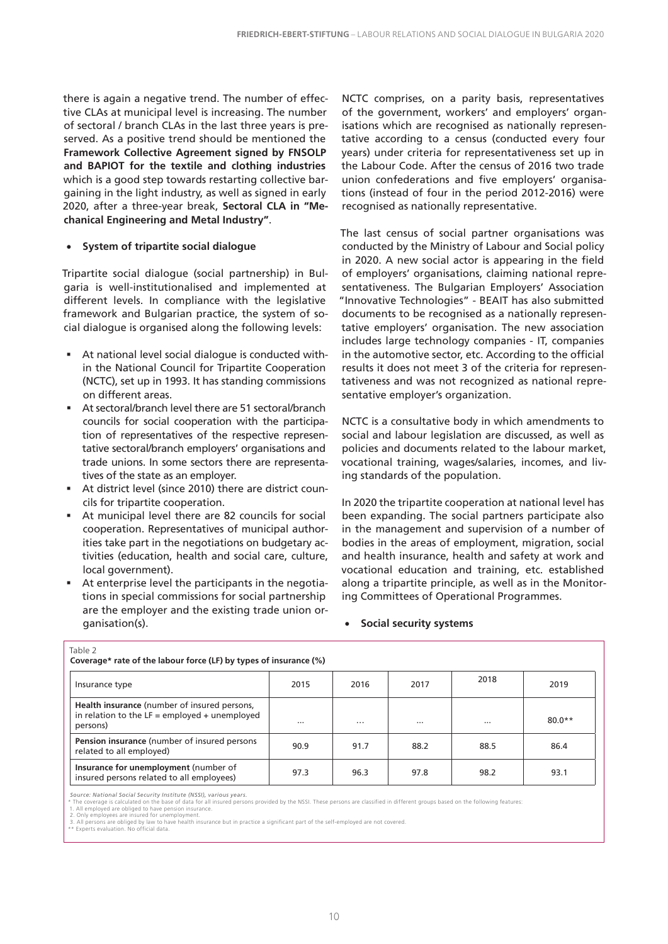there is again a negative trend. The number of effective CLAs at municipal level is increasing. The number of sectoral / branch CLAs in the last three years is preserved. As a positive trend should be mentioned the **Framework Collective Agreement signed by FNSOLP and BAPIOT for the textile and clothing industries** which is a good step towards restarting collective bargaining in the light industry, as well as signed in early 2020, after a three-year break, **Sectoral CLA in "Mechanical Engineering and Metal Industry"**.

#### • **System of tripartite social dialogue**

Tripartite social dialogue (social partnership) in Bulgaria is well-institutionalised and implemented at different levels. In compliance with the legislative framework and Bulgarian practice, the system of social dialogue is organised along the following levels:

- At national level social dialogue is conducted within the National Council for Tripartite Cooperation (NCTC), set up in 1993. It has standing commissions on different areas.
- At sectoral/branch level there are 51 sectoral/branch councils for social cooperation with the participation of representatives of the respective representative sectoral/branch employers' organisations and trade unions. In some sectors there are representatives of the state as an employer.
- At district level (since 2010) there are district councils for tripartite cooperation.
- At municipal level there are 82 councils for social cooperation. Representatives of municipal authorities take part in the negotiations on budgetary activities (education, health and social care, culture, local government).
- At enterprise level the participants in the negotiations in special commissions for social partnership are the employer and the existing trade union organisation(s).

NCTC comprises, on a parity basis, representatives of the government, workers' and employers' organisations which are recognised as nationally representative according to a census (conducted every four years) under criteria for representativeness set up in the Labour Code. After the census of 2016 two trade union confederations and five employers' organisations (instead of four in the period 2012-2016) were recognised as nationally representative.

The last census of social partner organisations was conducted by the Ministry of Labour and Social policy in 2020. A new social actor is appearing in the field of employers' organisations, claiming national representativeness. The Bulgarian Employers' Association "Innovative Technologies" - BEAIT has also submitted documents to be recognised as a nationally representative employers' organisation. The new association includes large technology companies - IT, companies in the automotive sector, etc. According to the official results it does not meet 3 of the criteria for representativeness and was not recognized as national representative employer's organization.

NCTC is a consultative body in which amendments to social and labour legislation are discussed, as well as policies and documents related to the labour market, vocational training, wages/salaries, incomes, and living standards of the population.

In 2020 the tripartite cooperation at national level has been expanding. The social partners participate also in the management and supervision of a number of bodies in the areas of employment, migration, social and health insurance, health and safety at work and vocational education and training, etc. established along a tripartite principle, as well as in the Monitoring Committees of Operational Programmes.

#### • **Social security systems**

| Table 2<br>Coverage* rate of the labour force (LF) by types of insurance (%)                                |      |          |          |          |          |  |  |  |  |  |
|-------------------------------------------------------------------------------------------------------------|------|----------|----------|----------|----------|--|--|--|--|--|
| Insurance type                                                                                              | 2015 | 2016     | 2017     | 2018     | 2019     |  |  |  |  |  |
| Health insurance (number of insured persons,<br>in relation to the $LF =$ employed + unemployed<br>persons) |      | $\cdots$ | $\cdots$ | $\cdots$ | $80.0**$ |  |  |  |  |  |
| Pension insurance (number of insured persons<br>related to all employed)                                    | 90.9 | 91.7     | 88.2     | 88.5     | 86.4     |  |  |  |  |  |
| Insurance for unemployment (number of<br>insured persons related to all employees)                          | 97.3 | 96.3     | 97.8     | 98.2     | 93.1     |  |  |  |  |  |

Source: National Social Security Institute (NSSI), various years.<br>\* The coverage is calculated on the base of data for all sured persons provided by the NSSI. These persons are classified in different groups based on the f

Table 2012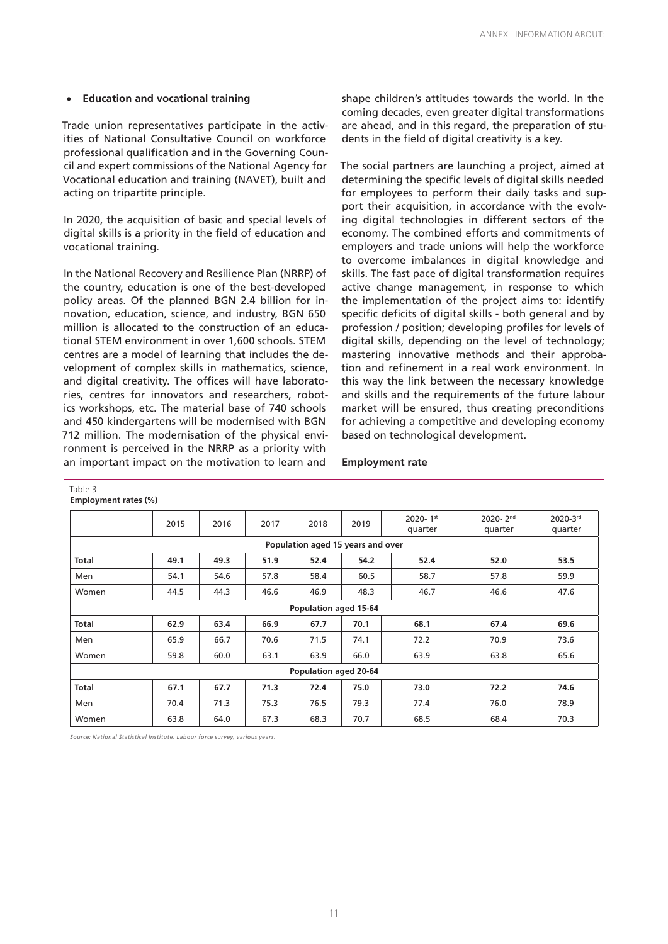#### • **Education and vocational training**

Trade union representatives participate in the activities of National Consultative Council on workforce professional qualification and in the Governing Council and expert commissions of the National Agency for Vocational education and training (NAVET), built and acting on tripartite principle.

In 2020, the acquisition of basic and special levels of digital skills is a priority in the field of education and vocational training.

In the National Recovery and Resilience Plan (NRRP) of the country, education is one of the best-developed policy areas. Of the planned BGN 2.4 billion for innovation, education, science, and industry, BGN 650 million is allocated to the construction of an educational STEM environment in over 1,600 schools. STEM centres are a model of learning that includes the development of complex skills in mathematics, science, and digital creativity. The offices will have laboratories, centres for innovators and researchers, robotics workshops, etc. The material base of 740 schools and 450 kindergartens will be modernised with BGN 712 million. The modernisation of the physical environment is perceived in the NRRP as a priority with an important impact on the motivation to learn and

shape children's attitudes towards the world. In the coming decades, even greater digital transformations are ahead, and in this regard, the preparation of students in the field of digital creativity is a key.

The social partners are launching a project, aimed at determining the specific levels of digital skills needed for employees to perform their daily tasks and support their acquisition, in accordance with the evolving digital technologies in different sectors of the economy. The combined efforts and commitments of employers and trade unions will help the workforce to overcome imbalances in digital knowledge and skills. The fast pace of digital transformation requires active change management, in response to which the implementation of the project aims to: identify specific deficits of digital skills - both general and by profession / position; developing profiles for levels of digital skills, depending on the level of technology; mastering innovative methods and their approbation and refinement in a real work environment. In this way the link between the necessary knowledge and skills and the requirements of the future labour market will be ensured, thus creating preconditions for achieving a competitive and developing economy based on technological development.

#### **Employment rate**

|                                   | 2015 | 2016 | 2017 | 2018                  | 2019 | 2020-1st<br>quarter | 2020-2nd<br>quarter | 2020-3rd<br>quarter |  |  |  |
|-----------------------------------|------|------|------|-----------------------|------|---------------------|---------------------|---------------------|--|--|--|
| Population aged 15 years and over |      |      |      |                       |      |                     |                     |                     |  |  |  |
| <b>Total</b>                      | 49.1 | 49.3 | 51.9 | 52.4                  | 54.2 | 52.4                | 52.0                | 53.5                |  |  |  |
| Men                               | 54.1 | 54.6 | 57.8 | 58.4                  | 60.5 | 58.7                | 57.8                | 59.9                |  |  |  |
| Women                             | 44.5 | 44.3 | 46.6 | 46.9                  | 48.3 | 46.7                | 46.6                | 47.6                |  |  |  |
| Population aged 15-64             |      |      |      |                       |      |                     |                     |                     |  |  |  |
| Total                             | 62.9 | 63.4 | 66.9 | 67.7                  | 70.1 | 68.1                | 67.4                | 69.6                |  |  |  |
| Men                               | 65.9 | 66.7 | 70.6 | 71.5                  | 74.1 | 72.2                | 70.9                | 73.6                |  |  |  |
| Women                             | 59.8 | 60.0 | 63.1 | 63.9                  | 66.0 | 63.9                | 63.8                | 65.6                |  |  |  |
|                                   |      |      |      | Population aged 20-64 |      |                     |                     |                     |  |  |  |
| <b>Total</b>                      | 67.1 | 67.7 | 71.3 | 72.4                  | 75.0 | 73.0                | 72.2                | 74.6                |  |  |  |
| Men                               | 70.4 | 71.3 | 75.3 | 76.5                  | 79.3 | 77.4                | 76.0                | 78.9                |  |  |  |
| Women                             | 63.8 | 64.0 | 67.3 | 68.3                  | 70.7 | 68.5                | 68.4                | 70.3                |  |  |  |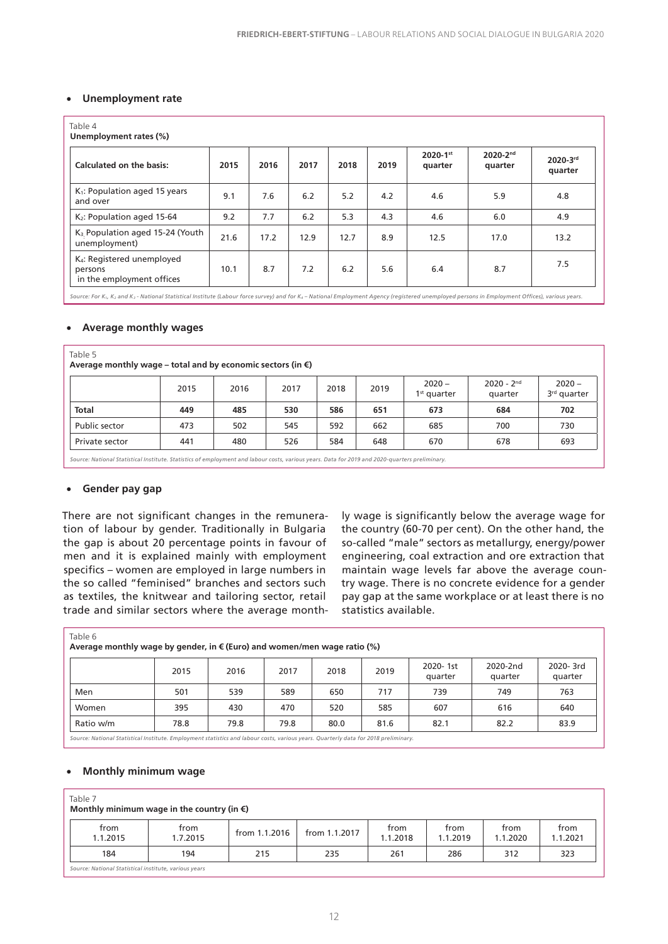#### • **Unemployment rate**

| Table 4<br>Unemployment rates (%)                                              |      |      |      |      |      |                     |                     |                     |  |  |  |
|--------------------------------------------------------------------------------|------|------|------|------|------|---------------------|---------------------|---------------------|--|--|--|
| Calculated on the basis:                                                       | 2015 | 2016 | 2017 | 2018 | 2019 | 2020-1st<br>quarter | 2020-2nd<br>quarter | 2020-3rd<br>quarter |  |  |  |
| K <sub>1</sub> : Population aged 15 years<br>and over                          | 9.1  | 7.6  | 6.2  | 5.2  | 4.2  | 4.6                 | 5.9                 | 4.8                 |  |  |  |
| K <sub>2</sub> : Population aged 15-64                                         | 9.2  | 7.7  | 6.2  | 5.3  | 4.3  | 4.6                 | 6.0                 | 4.9                 |  |  |  |
| K <sub>3</sub> Population aged 15-24 (Youth<br>unemployment)                   | 21.6 | 17.2 | 12.9 | 12.7 | 8.9  | 12.5                | 17.0                | 13.2                |  |  |  |
| K <sub>4</sub> : Registered unemployed<br>persons<br>in the employment offices | 10.1 | 8.7  | 7.2  | 6.2  | 5.6  | 6.4                 | 8.7                 | 7.5                 |  |  |  |

*Source: For K1, K2 and K3 - National Statistical Institute (Labour force survey) and for K4 – National Employment Agency (registered unemployed persons in Employment Offices), various years.*

#### • **Average monthly wages**

| Table 5<br>Average monthly wage – total and by economic sectors (in $\epsilon$ ) |      |      |      |      |      |                           |                         |                                     |  |  |  |  |
|----------------------------------------------------------------------------------|------|------|------|------|------|---------------------------|-------------------------|-------------------------------------|--|--|--|--|
|                                                                                  | 2015 | 2016 | 2017 | 2018 | 2019 | $2020 -$<br>$1st$ quarter | $2020 - 2nd$<br>quarter | $2020 -$<br>3 <sup>rd</sup> quarter |  |  |  |  |
| <b>Total</b>                                                                     | 449  | 485  | 530  | 586  | 651  | 673                       | 684                     | 702                                 |  |  |  |  |
| Public sector                                                                    | 473  | 502  | 545  | 592  | 662  | 685                       | 700                     | 730                                 |  |  |  |  |
| Private sector                                                                   | 441  | 480  | 526  | 584  | 648  | 670                       | 678                     | 693                                 |  |  |  |  |
|                                                                                  |      |      |      |      |      |                           |                         |                                     |  |  |  |  |

*Source: National Statistical Institute. Statistics of employment and labour costs, various years. Data for 2019 and 2020-quarters preliminary.*

#### • **Gender pay gap**

There are not significant changes in the remuneration of labour by gender. Traditionally in Bulgaria the gap is about 20 percentage points in favour of men and it is explained mainly with employment specifics – women are employed in large numbers in the so called "feminised" branches and sectors such as textiles, the knitwear and tailoring sector, retail trade and similar sectors where the average monthly wage is significantly below the average wage for the country (60-70 per cent). On the other hand, the so-called "male" sectors as metallurgy, energy/power engineering, coal extraction and ore extraction that maintain wage levels far above the average country wage. There is no concrete evidence for a gender pay gap at the same workplace or at least there is no statistics available.

| Table 6<br>Average monthly wage by gender, in $\epsilon$ (Euro) and women/men wage ratio (%) |      |      |      |      |      |                     |                     |                     |  |  |  |  |
|----------------------------------------------------------------------------------------------|------|------|------|------|------|---------------------|---------------------|---------------------|--|--|--|--|
|                                                                                              | 2015 | 2016 | 2017 | 2018 | 2019 | 2020-1st<br>quarter | 2020-2nd<br>quarter | 2020-3rd<br>quarter |  |  |  |  |
| Men                                                                                          | 501  | 539  | 589  | 650  | 717  | 739                 | 749                 | 763                 |  |  |  |  |
| Women                                                                                        | 395  | 430  | 470  | 520  | 585  | 607                 | 616                 | 640                 |  |  |  |  |
| Ratio w/m                                                                                    | 78.8 | 79.8 | 79.8 | 80.0 | 81.6 | 82.1                | 82.2                | 83.9                |  |  |  |  |

*Source: National Statistical Institute. Employment statistics and labour costs, various years. Quarterly data for 2018 preliminary.*

#### • **Monthly minimum wage**

#### Table 7

#### **Monthly minimum wage in the country (in €)**

|                                        | 1.1.2015 | 1.1.2019<br>1.1.2021<br>1.1.2020 | 1.7.2015 |
|----------------------------------------|----------|----------------------------------|----------|
| 184<br>194<br>235<br>261<br>286<br>215 |          | 323<br>312                       |          |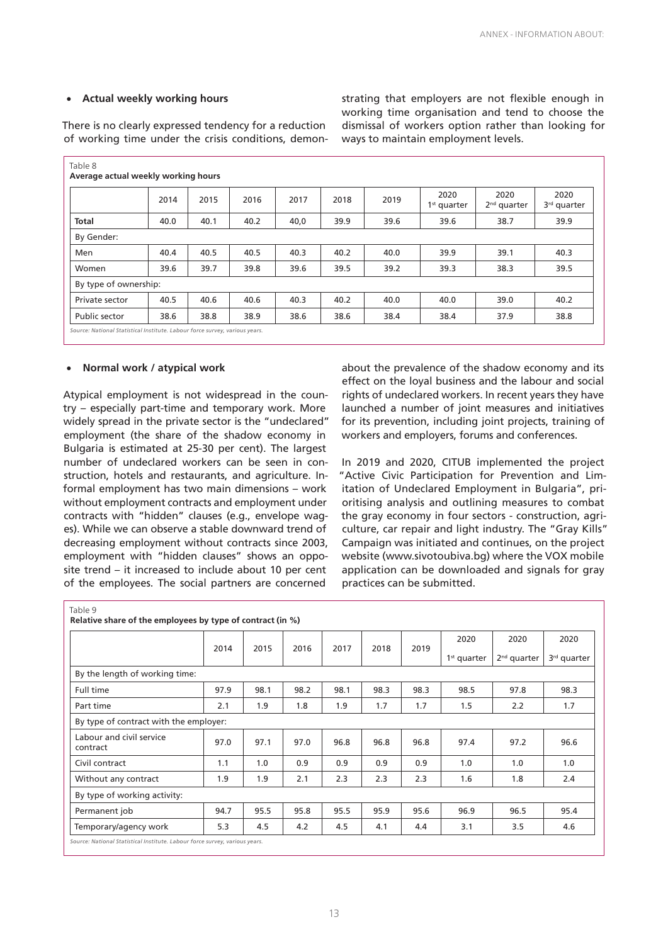#### • **Actual weekly working hours**

There is no clearly expressed tendency for a reduction of working time under the crisis conditions, demon-

Table 8 **Average actual weekly working hours** <sup>2014</sup> <sup>2015</sup> <sup>2016</sup> <sup>2017</sup> <sup>2018</sup> <sup>2019</sup> <sup>2020</sup> 1st quarter 2020 2nd quarter 2020 3rd quarter **Total 40.0** 40.1 40.2 40,0 39.9 39.6 38.7 39.9 By Gender: Men 40.4 40.5 40.5 40.3 40.2 40.0 39.9 39.1 40.3 Women | 39.6 | 39.7 | 39.8 | 39.6 | 39.5 | 39.2 | 39.3 | 38.3 | 39.5 By type of ownership: Private sector | 40.5 | 40.6 | 40.6 | 40.3 | 40.2 | 40.0 | 40.0 | 39.0 | 40.2 Public sector | 38.6 | 38.8 | 38.9 | 38.6 | 38.6 | 38.4 | 38.4 | 37.9 | 38.8 *Source: National Statistical Institute. Labour force survey, various years.*

#### • **Normal work / atypical work**

Atypical employment is not widespread in the country – especially part-time and temporary work. More widely spread in the private sector is the "undeclared" employment (the share of the shadow economy in Bulgaria is estimated at 25-30 per cent). The largest number of undeclared workers can be seen in construction, hotels and restaurants, and agriculture. Informal employment has two main dimensions – work without employment contracts and employment under contracts with "hidden" clauses (e.g., envelope wages). While we can observe a stable downward trend of decreasing employment without contracts since 2003, employment with "hidden clauses" shows an opposite trend – it increased to include about 10 per cent of the employees. The social partners are concerned

about the prevalence of the shadow economy and its effect on the loyal business and the labour and social rights of undeclared workers. In recent years they have launched a number of joint measures and initiatives for its prevention, including joint projects, training of workers and employers, forums and conferences.

In 2019 and 2020, CITUB implemented the project "Active Civic Participation for Prevention and Limitation of Undeclared Employment in Bulgaria", prioritising analysis and outlining measures to combat the gray economy in four sectors - construction, agriculture, car repair and light industry. The "Gray Kills" Campaign was initiated and continues, on the project website (www.sivotoubiva.bg) where the VOX mobile application can be downloaded and signals for gray practices can be submitted.

|                                        |      |      |      |      |      |      | 2020          | 2020          | 2020                    |
|----------------------------------------|------|------|------|------|------|------|---------------|---------------|-------------------------|
|                                        | 2014 | 2015 | 2016 | 2017 | 2018 | 2019 | $1st$ quarter | $2nd$ quarter | 3 <sup>rd</sup> quarter |
| By the length of working time:         |      |      |      |      |      |      |               |               |                         |
| Full time                              | 97.9 | 98.1 | 98.2 | 98.1 | 98.3 | 98.3 | 98.5          | 97.8          | 98.3                    |
| Part time                              | 2.1  | 1.9  | 1.8  | 1.9  | 1.7  | 1.7  | 1.5           | 2.2           | 1.7                     |
| By type of contract with the employer: |      |      |      |      |      |      |               |               |                         |
| Labour and civil service<br>contract   | 97.0 | 97.1 | 97.0 | 96.8 | 96.8 | 96.8 | 97.4          | 97.2          | 96.6                    |
| Civil contract                         | 1.1  | 1.0  | 0.9  | 0.9  | 0.9  | 0.9  | 1.0           | 1.0           | 1.0                     |
| Without any contract                   | 1.9  | 1.9  | 2.1  | 2.3  | 2.3  | 2.3  | 1.6           | 1.8           | 2.4                     |
| By type of working activity:           |      |      |      |      |      |      |               |               |                         |
| Permanent job                          | 94.7 | 95.5 | 95.8 | 95.5 | 95.9 | 95.6 | 96.9          | 96.5          | 95.4                    |
| Temporary/agency work                  | 5.3  | 4.5  | 4.2  | 4.5  | 4.1  | 4.4  | 3.1           | 3.5           | 4.6                     |

strating that employers are not flexible enough in working time organisation and tend to choose the dismissal of workers option rather than looking for ways to maintain employment levels.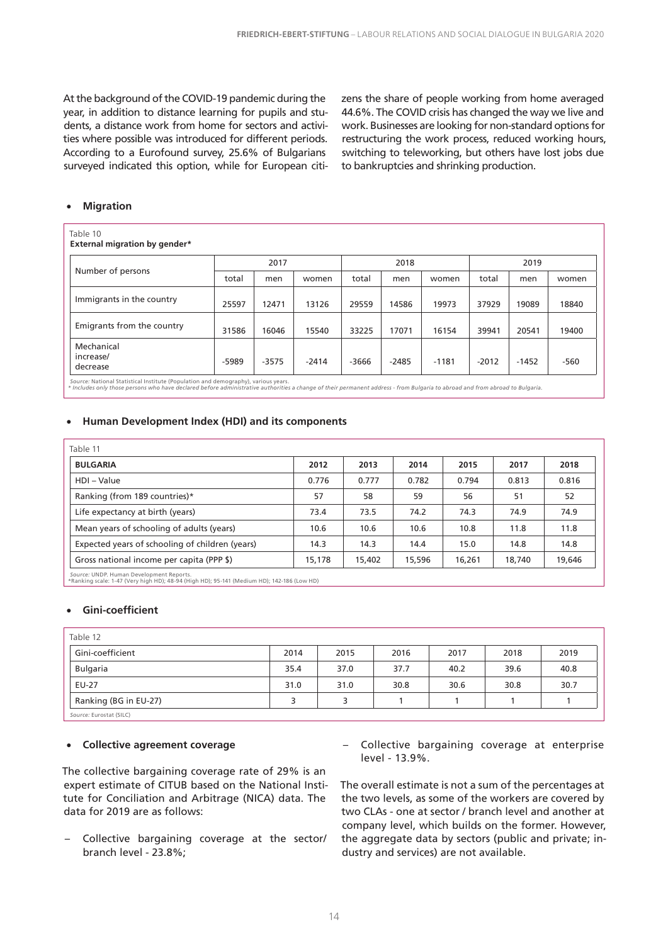At the background of the COVID-19 pandemic during the year, in addition to distance learning for pupils and students, a distance work from home for sectors and activities where possible was introduced for different periods. According to a Eurofound survey, 25.6% of Bulgarians surveyed indicated this option, while for European citizens the share of people working from home averaged 44.6%. The COVID crisis has changed the way we live and work. Businesses are looking for non-standard options for restructuring the work process, reduced working hours, switching to teleworking, but others have lost jobs due to bankruptcies and shrinking production.

#### • **Migration**

| Table 10<br><b>External migration by gender*</b> |       |         |         |         |         |         |         |         |        |  |
|--------------------------------------------------|-------|---------|---------|---------|---------|---------|---------|---------|--------|--|
|                                                  |       | 2017    |         |         | 2018    |         | 2019    |         |        |  |
| Number of persons                                | total | men     | women   | total   | men     | women   | total   | men     | women  |  |
| Immigrants in the country                        | 25597 | 12471   | 13126   | 29559   | 14586   | 19973   | 37929   | 19089   | 18840  |  |
| Emigrants from the country                       | 31586 | 16046   | 15540   | 33225   | 17071   | 16154   | 39941   | 20541   | 19400  |  |
| Mechanical<br>increase/<br>decrease              | -5989 | $-3575$ | $-2414$ | $-3666$ | $-2485$ | $-1181$ | $-2012$ | $-1452$ | $-560$ |  |

Source: National Statistical Institute (Population and demography), various years.<br>\* Includes only those persons who have declared before administrative authorities a change of their permanent address - from Bulgaria to ab

#### • **Human Development Index (HDI) and its components**

| Table 11                                        |        |        |        |        |        |        |
|-------------------------------------------------|--------|--------|--------|--------|--------|--------|
| <b>BULGARIA</b>                                 | 2012   | 2013   | 2014   | 2015   | 2017   | 2018   |
| HDI - Value                                     | 0.776  | 0.777  | 0.782  | 0.794  | 0.813  | 0.816  |
| Ranking (from 189 countries)*                   | 57     | 58     | 59     | 56     | 51     | 52     |
| Life expectancy at birth (years)                | 73.4   | 73.5   | 74.2   | 74.3   | 74.9   | 74.9   |
| Mean years of schooling of adults (years)       | 10.6   | 10.6   | 10.6   | 10.8   | 11.8   | 11.8   |
| Expected years of schooling of children (years) | 14.3   | 14.3   | 14.4   | 15.0   | 14.8   | 14.8   |
| Gross national income per capita (PPP \$)       | 15,178 | 15,402 | 15,596 | 16,261 | 18,740 | 19,646 |
| Course: UNDR Human Dovelopment Reports          |        |        |        |        |        |        |

*Source:* UNDP. Human Development Reports. \*Ranking scale: 1-47 (Very high HD); 48-94 (High HD); 95-141 (Medium HD); 142-186 (Low HD)

#### • **Gini-coefficient**

| Table 12                |      |      |      |      |      |      |
|-------------------------|------|------|------|------|------|------|
| Gini-coefficient        | 2014 | 2015 | 2016 | 2017 | 2018 | 2019 |
| <b>Bulgaria</b>         | 35.4 | 37.0 | 37.7 | 40.2 | 39.6 | 40.8 |
| EU-27                   | 31.0 | 31.0 | 30.8 | 30.6 | 30.8 | 30.7 |
| Ranking (BG in EU-27)   | 5    |      |      |      |      |      |
| Source: Eurostat (SILC) |      |      |      |      |      |      |

#### • **Collective agreement coverage**

The collective bargaining coverage rate of 29% is an expert estimate of CITUB based on the National Institute for Conciliation and Arbitrage (NICA) data. The data for 2019 are as follows:

- Collective bargaining coverage at the sector/ branch level - 23.8%;
- Collective bargaining coverage at enterprise level - 13.9%.

The overall estimate is not a sum of the percentages at the two levels, as some of the workers are covered by two CLAs - one at sector / branch level and another at company level, which builds on the former. However, the aggregate data by sectors (public and private; industry and services) are not available.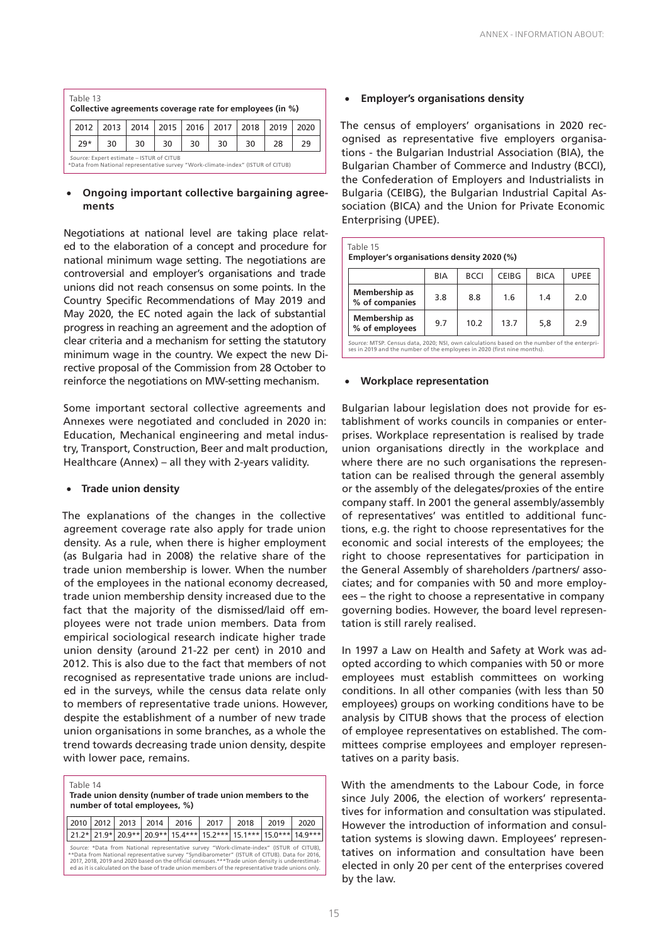| Table 13<br>Collective agreements coverage rate for employees (in %)                                                        |      |      |    |    |                           |    |      |      |
|-----------------------------------------------------------------------------------------------------------------------------|------|------|----|----|---------------------------|----|------|------|
| 2012                                                                                                                        | 2013 | 2014 |    |    | 2015   2016   2017   2018 |    | 2019 | 2020 |
| $29*$                                                                                                                       | 30   | 30   | 30 | 30 | 30                        | 30 | 28   | 29   |
| Source: Expert estimate - ISTUR of CITUB<br>*Data from National representative survey "Work-climate-index" (ISTUR of CITUB) |      |      |    |    |                           |    |      |      |

#### • **Ongoing important collective bargaining agreements**

Negotiations at national level are taking place related to the elaboration of a concept and procedure for national minimum wage setting. The negotiations are controversial and employer's organisations and trade unions did not reach consensus on some points. In the Country Specific Recommendations of May 2019 and May 2020, the EC noted again the lack of substantial progress in reaching an agreement and the adoption of clear criteria and a mechanism for setting the statutory minimum wage in the country. We expect the new Directive proposal of the Commission from 28 October to reinforce the negotiations on MW-setting mechanism.

Some important sectoral collective agreements and Annexes were negotiated and concluded in 2020 in: Education, Mechanical engineering and metal industry, Transport, Construction, Beer and malt production, Healthcare (Annex) – all they with 2-years validity.

#### • **Trade union density**

The explanations of the changes in the collective agreement coverage rate also apply for trade union density. As a rule, when there is higher employment (as Bulgaria had in 2008) the relative share of the trade union membership is lower. When the number of the employees in the national economy decreased, trade union membership density increased due to the fact that the majority of the dismissed/laid off employees were not trade union members. Data from empirical sociological research indicate higher trade union density (around 21-22 per cent) in 2010 and 2012. This is also due to the fact that members of not recognised as representative trade unions are included in the surveys, while the census data relate only to members of representative trade unions. However, despite the establishment of a number of new trade union organisations in some branches, as a whole the trend towards decreasing trade union density, despite with lower pace, remains.

Table 14

**Trade union density (number of trade union members to the number of total employees, %)** 

|                                                                                                                                                                                                                                                                                                                                                                                                    |  | 2010   2012   2013   2014 |  | 2016 | 2017 | 2018                                                              | 2019 | 2020 |  |
|----------------------------------------------------------------------------------------------------------------------------------------------------------------------------------------------------------------------------------------------------------------------------------------------------------------------------------------------------------------------------------------------------|--|---------------------------|--|------|------|-------------------------------------------------------------------|------|------|--|
|                                                                                                                                                                                                                                                                                                                                                                                                    |  |                           |  |      |      | 21.2* 21.9* 20.9** 20.9** 15.4*** 15.2*** 15.1*** 15.0*** 14.9*** |      |      |  |
| Source: *Data from National representative survey "Work-climate-index" (ISTUR of CITUB),<br>**Data from National representative survey "Syndibarometer" (ISTUR of CITUB). Data for 2016,<br>2017, 2018, 2019 and 2020 based on the official censuses.***Trade union density is underestimat-<br>ed as it is calculated on the base of trade union members of the representative trade unions only. |  |                           |  |      |      |                                                                   |      |      |  |

• **Employer's organisations density** 

The census of employers' organisations in 2020 recognised as representative five employers organisations - the Bulgarian Industrial Association (BIA), the Bulgarian Chamber of Commerce and Industry (BCCI), the Confederation of Employers and Industrialists in Bulgaria (CEIBG), the Bulgarian Industrial Capital Association (BICA) and the Union for Private Economic Enterprising (UPEE).

| Table 15<br>Employer's organisations density 2020 (%)                                                                                                                   |     |             |              |             |             |  |
|-------------------------------------------------------------------------------------------------------------------------------------------------------------------------|-----|-------------|--------------|-------------|-------------|--|
|                                                                                                                                                                         | BIA | <b>BCCI</b> | <b>CEIBG</b> | <b>BICA</b> | <b>UPEE</b> |  |
| Membership as<br>% of companies                                                                                                                                         | 3.8 | 8.8         | 1.6          | 1.4         | 2.0         |  |
| Membership as<br>% of employees                                                                                                                                         | 9.7 | 10.2        | 13.7         | 5,8         | 2.9         |  |
| Source: MTSP. Census data, 2020; NSI, own calculations based on the number of the enterpri-<br>ses in 2019 and the number of the employees in 2020 (first nine months). |     |             |              |             |             |  |

#### **Workplace representation**

Bulgarian labour legislation does not provide for establishment of works councils in companies or enterprises. Workplace representation is realised by trade union organisations directly in the workplace and where there are no such organisations the representation can be realised through the general assembly or the assembly of the delegates/proxies of the entire company staff. In 2001 the general assembly/assembly of representatives' was entitled to additional functions, e.g. the right to choose representatives for the economic and social interests of the employees; the right to choose representatives for participation in the General Assembly of shareholders /partners/ associates; and for companies with 50 and more employees – the right to choose a representative in company governing bodies. However, the board level representation is still rarely realised.

In 1997 a Law on Health and Safety at Work was adopted according to which companies with 50 or more employees must establish committees on working conditions. In all other companies (with less than 50 employees) groups on working conditions have to be analysis by CITUB shows that the process of election of employee representatives on established. The committees comprise employees and employer representatives on a parity basis.

With the amendments to the Labour Code, in force since July 2006, the election of workers' representatives for information and consultation was stipulated. However the introduction of information and consultation systems is slowing dawn. Employees' representatives on information and consultation have been elected in only 20 per cent of the enterprises covered by the law.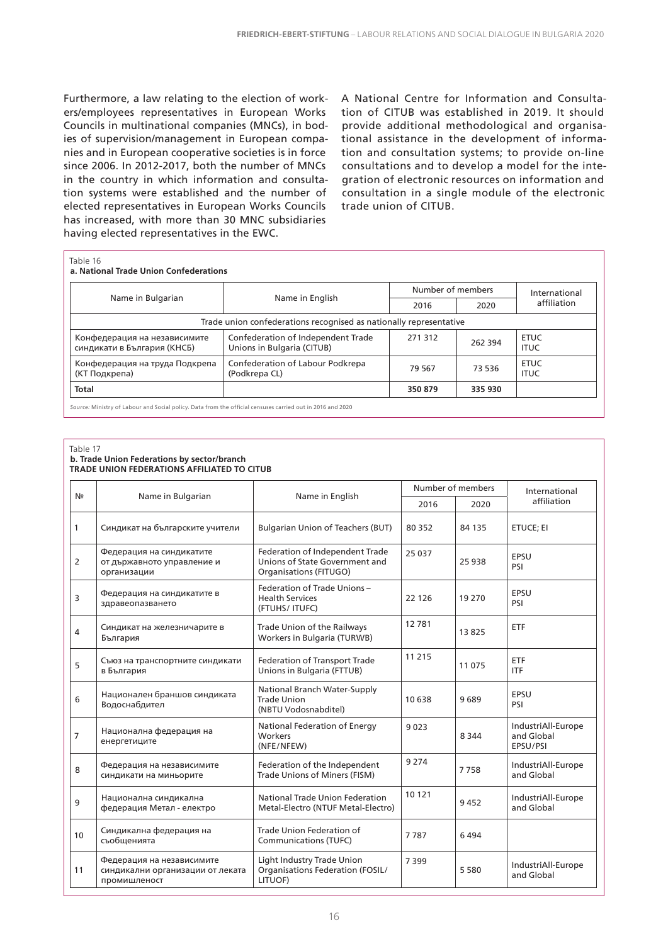Furthermore, a law relating to the election of workers/employees representatives in European Works Councils in multinational companies (MNCs), in bodies of supervision/management in European companies and in European cooperative societies is in force since 2006. In 2012-2017, both the number of MNCs in the country in which information and consultation systems were established and the number of elected representatives in European Works Councils has increased, with more than 30 MNC subsidiaries having elected representatives in the EWC.

A National Centre for Information and Consultation of CITUB was established in 2019. It should provide additional methodological and organisational assistance in the development of information and consultation systems; to provide on-line consultations and to develop a model for the integration of electronic resources on information and consultation in a single module of the electronic trade union of CITUB.

|                                                                    |                                                                  | Number of members |         | International              |  |  |
|--------------------------------------------------------------------|------------------------------------------------------------------|-------------------|---------|----------------------------|--|--|
| Name in Bulgarian                                                  | Name in English                                                  | 2020<br>2016      |         | affiliation                |  |  |
| Trade union confederations recognised as nationally representative |                                                                  |                   |         |                            |  |  |
| Конфедерация на независимите<br>синдикати в България (КНСБ)        | Confederation of Independent Trade<br>Unions in Bulgaria (CITUB) | 271 312           | 262 394 | <b>ETUC</b><br><b>ITUC</b> |  |  |
| Конфедерация на труда Подкрепа<br>(КТ Подкрепа)                    | Confederation of Labour Podkrepa<br>(Podkrepa CL)                | 79 567            | 73 536  | <b>ETUC</b><br><b>ITUC</b> |  |  |
| <b>Total</b>                                                       |                                                                  | 350 879           | 335 930 |                            |  |  |

#### Table 17

#### **b. Trade Union Federations by sector/branch TRADE UNION FEDERATIONS AFFILIATED TO CITUB**

| Nº             |                                                                               |                                                                                             |         | Number of members | International                                |
|----------------|-------------------------------------------------------------------------------|---------------------------------------------------------------------------------------------|---------|-------------------|----------------------------------------------|
|                | Name in Bulgarian                                                             | Name in English                                                                             | 2016    | 2020              | affiliation                                  |
| 1              | Синдикат на българските учители                                               | <b>Bulgarian Union of Teachers (BUT)</b>                                                    | 80 3 52 | 84 135            | ETUCE; EI                                    |
| 2              | Федерация на синдикатите<br>от държавното управление и<br>организации         | Federation of Independent Trade<br>Unions of State Government and<br>Organisations (FITUGO) | 25 0 37 | 25 9 38           | EPSU<br>PSI                                  |
| 3              | Федерация на синдикатите в<br>здравеопазването                                | Federation of Trade Unions -<br><b>Health Services</b><br>(FTUHS/ ITUFC)                    | 22 1 26 | 19 270            | EPSU<br>PSI                                  |
| 4              | Синдикат на железничарите в<br>България                                       | Trade Union of the Railways<br>Workers in Bulgaria (TURWB)                                  | 12781   | 13825             | ETF                                          |
| 5              | Съюз на транспортните синдикати<br>в България                                 | Federation of Transport Trade<br>Unions in Bulgaria (FTTUB)                                 | 11 2 15 | 11 075            | ETF<br><b>ITF</b>                            |
| 6              | Национален браншов синдиката<br>Водоснабдител                                 | National Branch Water-Supply<br><b>Trade Union</b><br>(NBTU Vodosnabditel)                  | 10638   | 9689              | EPSU<br>PSI                                  |
| $\overline{7}$ | Национална федерация на<br>енергетиците                                       | National Federation of Energy<br>Workers<br>(NFE/NFEW)                                      | 9023    | 8 3 4 4           | IndustriAll-Europe<br>and Global<br>EPSU/PSI |
| 8              | Федерация на независимите<br>синдикати на миньорите                           | Federation of the Independent<br>Trade Unions of Miners (FISM)                              | 9 2 7 4 | 7758              | IndustriAll-Europe<br>and Global             |
| 9              | Национална синдикална<br>федерация Метал - електро                            | National Trade Union Federation<br>Metal-Electro (NTUF Metal-Electro)                       | 10 121  | 9452              | IndustriAll-Europe<br>and Global             |
| 10             | Синдикална федерация на<br>съобщенията                                        | Trade Union Federation of<br>Communications (TUFC)                                          | 7787    | 6494              |                                              |
| 11             | Федерация на независимите<br>синдикални организации от леката<br>промишленост | Light Industry Trade Union<br>Organisations Federation (FOSIL/<br>LITUOF)                   | 7399    | 5 5 8 0           | IndustriAll-Europe<br>and Global             |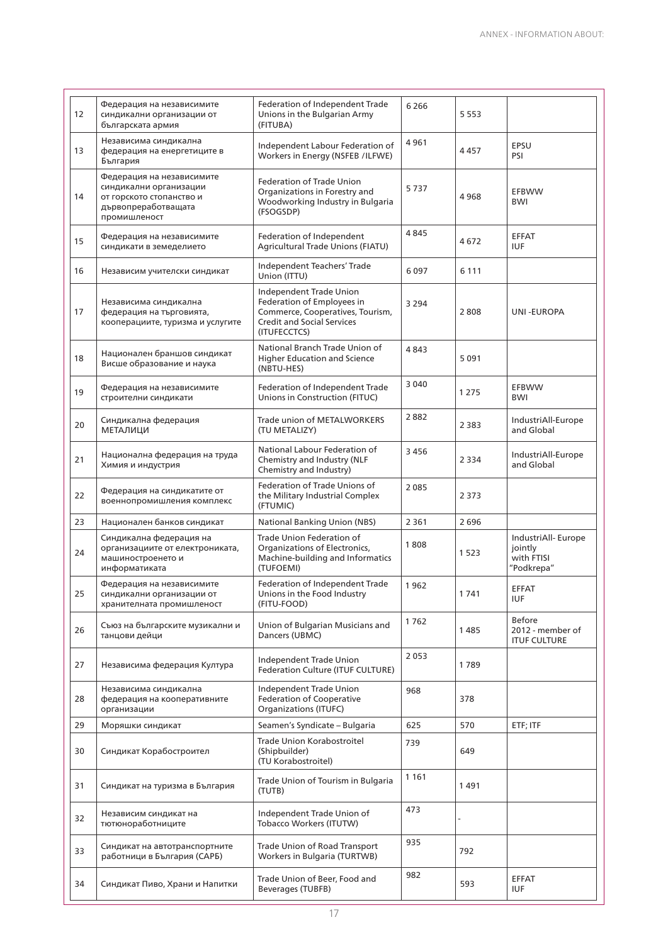| 12 | Федерация на независимите<br>синдикални организации от<br>българската армия                                            | Federation of Independent Trade<br>Unions in the Bulgarian Army<br>(FITUBA)                                                                    | 6 2 6 6 | 5 5 5 3 |                                                            |
|----|------------------------------------------------------------------------------------------------------------------------|------------------------------------------------------------------------------------------------------------------------------------------------|---------|---------|------------------------------------------------------------|
| 13 | Независима синдикална<br>федерация на енергетиците в<br>България                                                       | Independent Labour Federation of<br>Workers in Energy (NSFEB /ILFWE)                                                                           | 4961    | 4457    | EPSU<br>PSI                                                |
| 14 | Федерация на независимите<br>синдикални организации<br>от горското стопанство и<br>дървопреработващата<br>промишленост | <b>Federation of Trade Union</b><br>Organizations in Forestry and<br>Woodworking Industry in Bulgaria<br>(FSOGSDP)                             | 5737    | 4968    | EFBWW<br><b>BWI</b>                                        |
| 15 | Федерация на независимите<br>синдикати в земеделието                                                                   | Federation of Independent<br>Agricultural Trade Unions (FIATU)                                                                                 | 4845    | 4672    | <b>EFFAT</b><br><b>IUF</b>                                 |
| 16 | Независим учителски синдикат                                                                                           | Independent Teachers' Trade<br>Union (ITTU)                                                                                                    | 6097    | 6 1 1 1 |                                                            |
| 17 | Независима синдикална<br>федерация на търговията,<br>кооперациите, туризма и услугите                                  | Independent Trade Union<br>Federation of Employees in<br>Commerce, Cooperatives, Tourism,<br><b>Credit and Social Services</b><br>(ITUFECCTCS) | 3 2 9 4 | 2808    | UNI-EUROPA                                                 |
| 18 | Национален браншов синдикат<br>Висше образование и наука                                                               | National Branch Trade Union of<br>Higher Education and Science<br>(NBTU-HES)                                                                   | 4843    | 5091    |                                                            |
| 19 | Федерация на независимите<br>строителни синдикати                                                                      | Federation of Independent Trade<br>Unions in Construction (FITUC)                                                                              | 3 0 4 0 | 1 2 7 5 | <b>EFBWW</b><br><b>BWI</b>                                 |
| 20 | Синдикална федерация<br><b>МЕТАЛИЦИ</b>                                                                                | Trade union of METALWORKERS<br>(TU METALIZY)                                                                                                   | 2882    | 2 3 8 3 | IndustriAll-Europe<br>and Global                           |
| 21 | Национална федерация на труда<br>Химия и индустрия                                                                     | National Labour Federation of<br>Chemistry and Industry (NLF<br>Chemistry and Industry)                                                        | 3 4 5 6 | 2 3 3 4 | IndustriAll-Europe<br>and Global                           |
| 22 | Федерация на синдикатите от<br>военнопромишления комплекс                                                              | Federation of Trade Unions of<br>the Military Industrial Complex<br>(FTUMIC)                                                                   | 2085    | 2 3 7 3 |                                                            |
| 23 | Национален банков синдикат                                                                                             | <b>National Banking Union (NBS)</b>                                                                                                            | 2 3 6 1 | 2696    |                                                            |
| 24 | Синдикална федерация на<br>организациите от електрониката,<br>машиностроенето и<br>информатиката                       | Trade Union Federation of<br>Organizations of Electronics,<br>Machine-building and Informatics<br>(TUFOEMI)                                    | 1808    | 1523    | IndustriAll- Europe<br>jointly<br>with FTISI<br>"Podkrepa" |
| 25 | Федерация на независимите<br>синдикални организации от<br>хранителната промишленост                                    | Federation of Independent Trade<br>Unions in the Food Industry<br>(FITU-FOOD)                                                                  | 1962    | 1741    | <b>EFFAT</b><br><b>IUF</b>                                 |
| 26 | Съюз на българските музикални и<br>танцови дейци                                                                       | Union of Bulgarian Musicians and<br>Dancers (UBMC)                                                                                             | 1762    | 1485    | <b>Before</b><br>2012 - member of<br><b>ITUF CULTURE</b>   |
| 27 | Независима федерация Култура                                                                                           | Independent Trade Union<br>Federation Culture (ITUF CULTURE)                                                                                   | 2053    | 1789    |                                                            |
| 28 | Независима синдикална<br>федерация на кооперативните<br>организации                                                    | Independent Trade Union<br><b>Federation of Cooperative</b><br>Organizations (ITUFC)                                                           | 968     | 378     |                                                            |
| 29 | Моряшки синдикат                                                                                                       | Seamen's Syndicate - Bulgaria                                                                                                                  | 625     | 570     | ETF; ITF                                                   |
| 30 | Синдикат Корабостроител                                                                                                | Trade Union Korabostroitel<br>(Shipbuilder)<br>(TU Korabostroitel)                                                                             | 739     | 649     |                                                            |
| 31 | Синдикат на туризма в България                                                                                         | Trade Union of Tourism in Bulgaria<br>(TUTB)                                                                                                   | 1 1 6 1 | 1491    |                                                            |
| 32 | Независим синдикат на<br>тютюноработниците                                                                             | Independent Trade Union of<br>Tobacco Workers (ITUTW)                                                                                          | 473     |         |                                                            |
| 33 | Синдикат на автотранспортните<br>работници в България (САРБ)                                                           | Trade Union of Road Transport<br>Workers in Bulgaria (TURTWB)                                                                                  | 935     | 792     |                                                            |
| 34 | Синдикат Пиво, Храни и Напитки                                                                                         | Trade Union of Beer, Food and<br>Beverages (TUBFB)                                                                                             | 982     | 593     | EFFAT<br><b>IUF</b>                                        |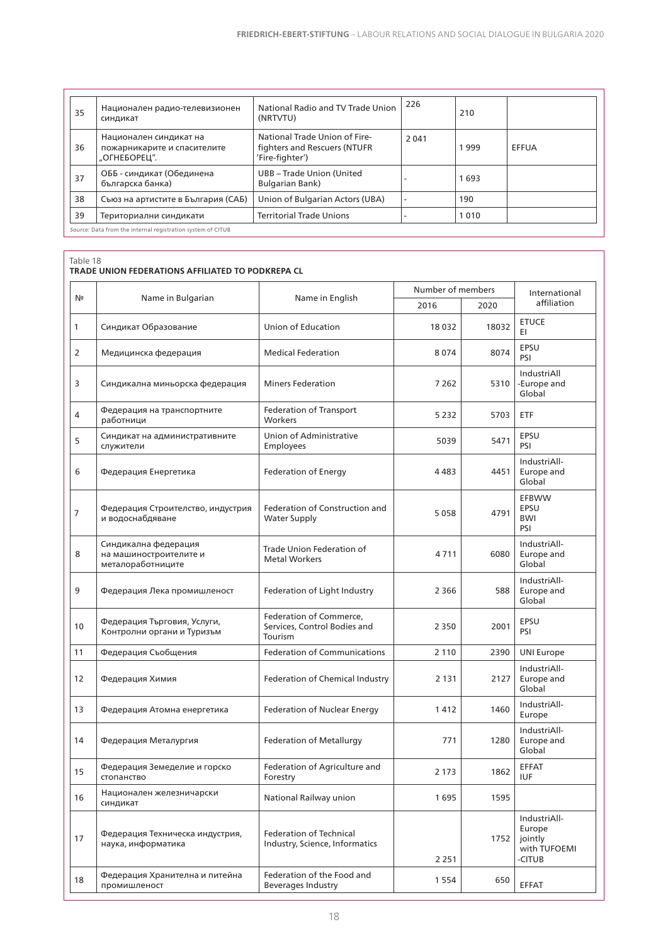| 35                                                          | Национален радио-телевизионен<br>синдикат                             | National Radio and TV Trade Union<br>(NRTVTU)                                     | 226     | 210  |       |  |
|-------------------------------------------------------------|-----------------------------------------------------------------------|-----------------------------------------------------------------------------------|---------|------|-------|--|
| 36                                                          | Национален синдикат на<br>пожарникарите и спасителите<br>"ОГНЕБОРЕЦ". | National Trade Union of Fire-<br>fighters and Rescuers (NTUFR)<br>'Fire-fighter') | 2 0 4 1 | 1999 | EFFUA |  |
| 37                                                          | ОББ - синдикат (Обединена<br>българска банка)                         | UBB - Trade Union (United<br><b>Bulgarian Bank)</b>                               |         | 1693 |       |  |
| 38                                                          | Съюз на артистите в България (САБ)                                    | Union of Bulgarian Actors (UBA)                                                   |         | 190  |       |  |
| 39                                                          | Териториални синдикати                                                | <b>Territorial Trade Unions</b>                                                   |         | 1010 |       |  |
| Source: Data from the internal registration system of CITUB |                                                                       |                                                                                   |         |      |       |  |

| Nº             |                                                                     |                                                                    | Number of members |       | International                                               |
|----------------|---------------------------------------------------------------------|--------------------------------------------------------------------|-------------------|-------|-------------------------------------------------------------|
|                | Name in Bulgarian                                                   | Name in English                                                    | 2016              | 2020  | affiliation                                                 |
| 1              | Синдикат Образование                                                | Union of Education                                                 | 18 0 32           | 18032 | <b>ETUCE</b><br>EI.                                         |
| $\overline{2}$ | Медицинска федерация                                                | <b>Medical Federation</b>                                          | 8074              | 8074  | EPSU<br>PSI                                                 |
| 3              | Синдикална миньорска федерация                                      | <b>Miners Federation</b>                                           | 7 2 6 2           | 5310  | IndustriAll<br>-Europe and<br>Global                        |
| 4              | Федерация на транспортните<br>работници                             | <b>Federation of Transport</b><br>Workers                          | 5 2 3 2           | 5703  | ETF                                                         |
| 5              | Синдикат на административните<br>служители                          | Union of Administrative<br>Employees                               | 5039              | 5471  | EPSU<br>PSI                                                 |
| 6              | Федерация Енергетика                                                | <b>Federation of Energy</b>                                        | 4483              | 4451  | IndustriAll-<br>Europe and<br>Global                        |
| $\overline{7}$ | Федерация Строителство, индустрия<br>и водоснабдяване               | Federation of Construction and<br><b>Water Supply</b>              | 5058              | 4791  | <b>EFBWW</b><br>EPSU<br>BWI<br>PSI                          |
| 8              | Синдикална федерация<br>на машиностроителите и<br>металоработниците | Trade Union Federation of<br><b>Metal Workers</b>                  | 4711              | 6080  | IndustriAll-<br>Europe and<br>Global                        |
| 9              | Федерация Лека промишленост                                         | Federation of Light Industry                                       | 2 3 6 6           | 588   | IndustriAll-<br>Europe and<br>Global                        |
| 10             | Федерация Търговия, Услуги,<br>Контролни органи и Туризъм           | Federation of Commerce,<br>Services, Control Bodies and<br>Tourism | 2 3 5 0           | 2001  | EPSU<br>PSI                                                 |
| 11             | Федерация Съобщения                                                 | <b>Federation of Communications</b>                                | 2 1 1 0           | 2390  | <b>UNI Europe</b>                                           |
| 12             | Федерация Химия                                                     | Federation of Chemical Industry                                    | 2 1 3 1           | 2127  | IndustriAll-<br>Europe and<br>Global                        |
| 13             | Федерация Атомна енергетика                                         | Federation of Nuclear Energy                                       | 1412              | 1460  | IndustriAll-<br>Europe                                      |
| 14             | Федерация Металургия                                                | <b>Federation of Metallurgy</b>                                    | 771               | 1280  | IndustriAll-<br>Europe and<br>Global                        |
| 15             | Федерация Земеделие и горско<br>стопанство                          | Federation of Agriculture and<br>Forestry                          | 2 1 7 3           | 1862  | <b>EFFAT</b><br><b>IUF</b>                                  |
| 16             | Национален железничарски<br>синдикат                                | National Railway union                                             | 1695              | 1595  |                                                             |
| 17             | Федерация Техническа индустрия,<br>наука, информатика               | <b>Federation of Technical</b><br>Industry, Science, Informatics   | 2 2 5 1           | 1752  | IndustriAll-<br>Europe<br>jointly<br>with TUFOEMI<br>-CITUB |
| 18             | Федерация Хранителна и питейна<br>промишленост                      | Federation of the Food and<br><b>Beverages Industry</b>            | 1 5 5 4           | 650   | EFFAT                                                       |
|                |                                                                     |                                                                    |                   |       |                                                             |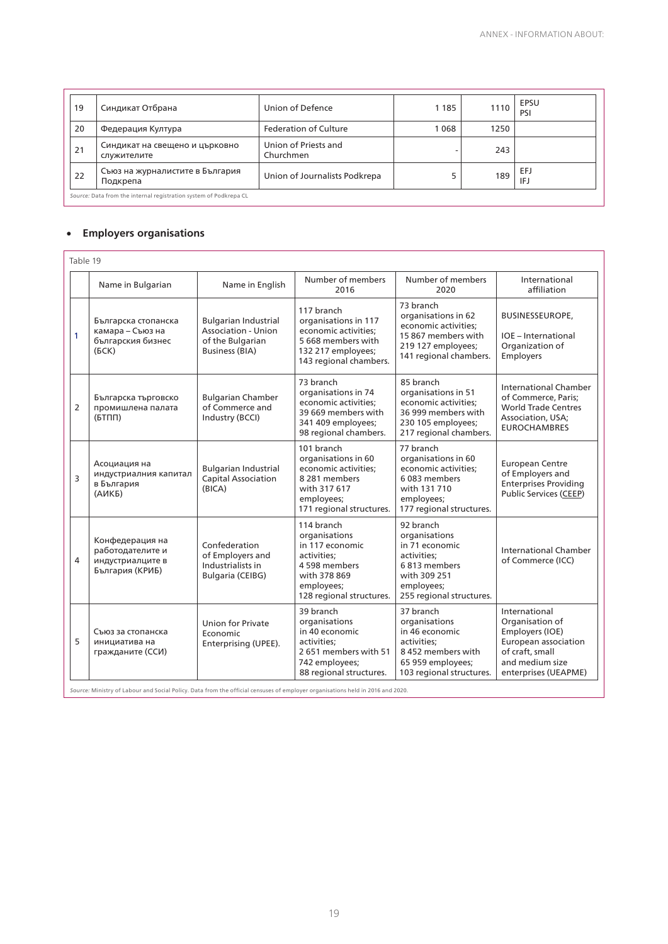| 19                                                                | Синдикат Отбрана                              | Union of Defence                  | 1 1 8 5 | 1110 | <b>EPSU</b><br>PSI |  |
|-------------------------------------------------------------------|-----------------------------------------------|-----------------------------------|---------|------|--------------------|--|
| 20                                                                | Федерация Култура                             | Federation of Culture             | 1068    | 1250 |                    |  |
| 21                                                                | Синдикат на свещено и църковно<br>служителите | Union of Priests and<br>Churchmen |         | 243  |                    |  |
| 22                                                                | Съюз на журналистите в България<br>Подкрепа   | Union of Journalists Podkrepa     | 5       | 189  | EFJ<br>IFJ         |  |
| Source: Data from the internal registration system of Podkrepa CL |                                               |                                   |         |      |                    |  |

#### • **Employers organisations**

|                | Table 19                                                                   |                                                                                                 |                                                                                                                                          |                                                                                                                                       |                                                                                                                                           |  |  |  |
|----------------|----------------------------------------------------------------------------|-------------------------------------------------------------------------------------------------|------------------------------------------------------------------------------------------------------------------------------------------|---------------------------------------------------------------------------------------------------------------------------------------|-------------------------------------------------------------------------------------------------------------------------------------------|--|--|--|
|                | Name in Bulgarian                                                          | Name in English                                                                                 | Number of members<br>2016                                                                                                                | Number of members<br>2020                                                                                                             | International<br>affiliation                                                                                                              |  |  |  |
| 1              | Българска стопанска<br>камара - Съюз на<br>българския бизнес<br>(6CK)      | <b>Bulgarian Industrial</b><br>Association - Union<br>of the Bulgarian<br><b>Business (BIA)</b> | 117 branch<br>organisations in 117<br>economic activities:<br>5 668 members with<br>132 217 employees;<br>143 regional chambers.         | 73 branch<br>organisations in 62<br>economic activities:<br>15 867 members with<br>219 127 employees;<br>141 regional chambers.       | <b>BUSINESSEUROPE,</b><br>IOE - International<br>Organization of<br>Employers                                                             |  |  |  |
| $\overline{2}$ | Българска търговско<br>промишлена палата<br>$(5T\Pi\Pi)$                   | <b>Bulgarian Chamber</b><br>of Commerce and<br>Industry (BCCI)                                  | 73 branch<br>organisations in 74<br>economic activities:<br>39 669 members with<br>341 409 employees;<br>98 regional chambers.           | 85 branch<br>organisations in 51<br>economic activities:<br>36 999 members with<br>230 105 employees;<br>217 regional chambers.       | International Chamber<br>of Commerce, Paris;<br><b>World Trade Centres</b><br>Association, USA;<br><b>EUROCHAMBRES</b>                    |  |  |  |
| $\overline{3}$ | Асоциация на<br>индустриалния капитал<br>в България<br>(АИКБ)              | <b>Bulgarian Industrial</b><br><b>Capital Association</b><br>(BICA)                             | 101 branch<br>organisations in 60<br>economic activities:<br>8 281 members<br>with 317 617<br>employees;<br>171 regional structures.     | 77 branch<br>organisations in 60<br>economic activities:<br>6083 members<br>with 131 710<br>employees;<br>177 regional structures.    | <b>European Centre</b><br>of Employers and<br><b>Enterprises Providing</b><br><b>Public Services (CEEP)</b>                               |  |  |  |
| 4              | Конфедерация на<br>работодателите и<br>индустриалците в<br>България (КРИБ) | Confederation<br>of Employers and<br>Industrialists in<br>Bulgaria (CEIBG)                      | 114 branch<br>organisations<br>in 117 economic<br>activities:<br>4 598 members<br>with 378 869<br>employees;<br>128 regional structures. | 92 branch<br>organisations<br>in 71 economic<br>activities:<br>6813 members<br>with 309 251<br>employees;<br>255 regional structures. | <b>International Chamber</b><br>of Commerce (ICC)                                                                                         |  |  |  |
| 5              | Съюз за стопанска<br>инициатива на<br>гражданите (ССИ)                     | Union for Private<br>Economic<br>Enterprising (UPEE).                                           | 39 branch<br>organisations<br>in 40 economic<br>activities:<br>2651 members with 51<br>742 employees;<br>88 regional structures.         | 37 branch<br>organisations<br>in 46 economic<br>activities:<br>8452 members with<br>65 959 employees;<br>103 regional structures.     | International<br>Organisation of<br>Employers (IOE)<br>European association<br>of craft, small<br>and medium size<br>enterprises (UEAPME) |  |  |  |

*Source:* Ministry of Labour and Social Policy. Data from the official censuses of employer organisations held in 2016 and 2020.

19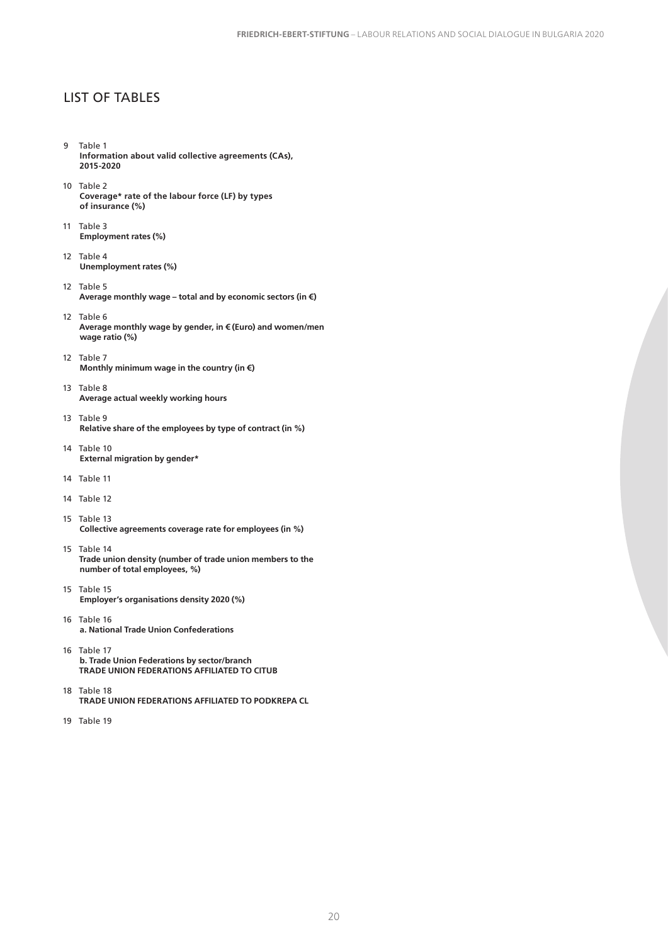#### LIST OF TABLES

- 9 Table 1 **Information about valid collective agreements (CAs), 2015-2020**
- 10 Table 2 **Coverage\* rate of the labour force (LF) by types of insurance (%)**
- 11 Table 3 **Employment rates (%)**
- 12 Table 4 **Unemployment rates (%)**
- 12 Table 5 **Average monthly wage – total and by economic sectors (in €)**
- 12 Table 6 **Average monthly wage by gender, in € (Euro) and women/men wage ratio (%)**
- 12 Table 7 **Monthly minimum wage in the country (in €)**
- 13 Table 8 **Average actual weekly working hours**
- 13 Table 9 **Relative share of the employees by type of contract (in %)**
- 14 Table 10 **External migration by gender\***
- 14 Table 11
- 14 Table 12
- 15 Table 13 **Collective agreements coverage rate for employees (in %)**
- 15 Table 14 **Trade union density (number of trade union members to the number of total employees, %)**
- 15 Table 15 **Employer's organisations density 2020 (%)**
- 16 Table 16 **a. National Trade Union Confederations**
- 16 Table 17 **b. Trade Union Federations by sector/branch TRADE UNION FEDERATIONS AFFILIATED TO CITUB**
- 18 Table 18 **TRADE UNION FEDERATIONS AFFILIATED TO PODKREPA CL**
- 19 Table 19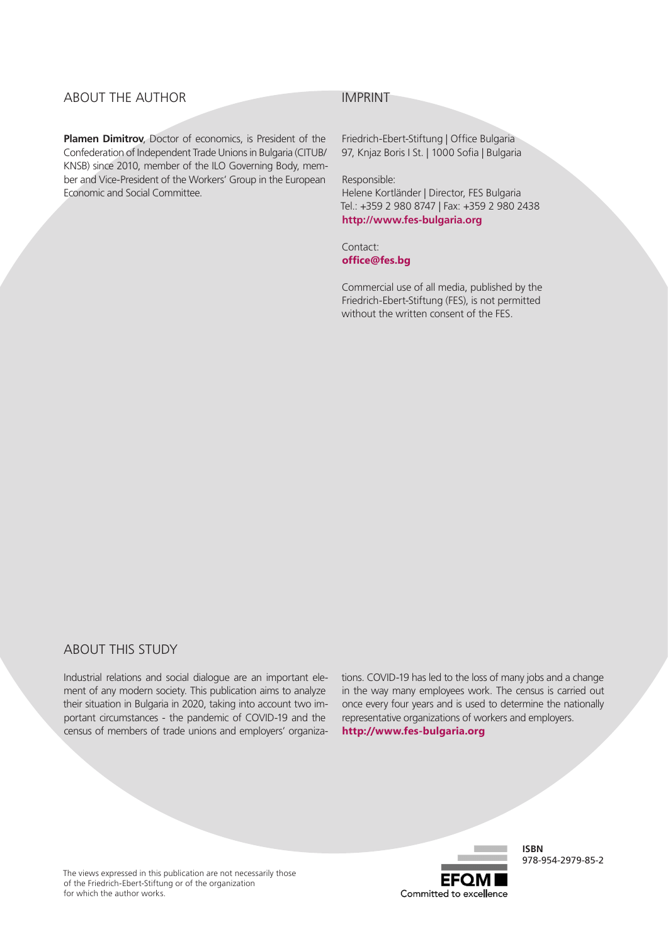#### ABOUT THE AUTHOR

**Plamen Dimitrov**, Doctor of economics, is President of the Confederation of Independent Trade Unions in Bulgaria (CITUB/ KNSB) since 2010, member of the ILO Governing Body, member and Vice-President of the Workers' Group in the European Economic and Social Committee.

#### IMPRINT

Friedrich-Ebert-Stiftung | Office Bulgaria 97, Knjaz Boris I St. | 1000 Sofia | Bulgaria

Responsible:

Helene Kortländer | Director, FES Bulgaria Tel.: +359 2 980 8747 | Fax: +359 2 980 2438 **http://www.fes-bulgaria.org**

Contact: **office@fes.bg**

Commercial use of all media, published by the Friedrich-Ebert-Stiftung (FES), is not permitted without the written consent of the FES.

#### ABOUT THIS STUDY

Industrial relations and social dialogue are an important element of any modern society. This publication aims to analyze their situation in Bulgaria in 2020, taking into account two important circumstances - the pandemic of COVID-19 and the census of members of trade unions and employers' organizations. COVID-19 has led to the loss of many jobs and a change in the way many employees work. The census is carried out once every four years and is used to determine the nationally representative organizations of workers and employers.

**http://www.fes-bulgaria.org**

**FFOI** Committed to excellence

**ISBN**  978-954-2979-85-2

The views expressed in this publication are not necessarily those of the Friedrich-Ebert-Stiftung or of the organization for which the author works.